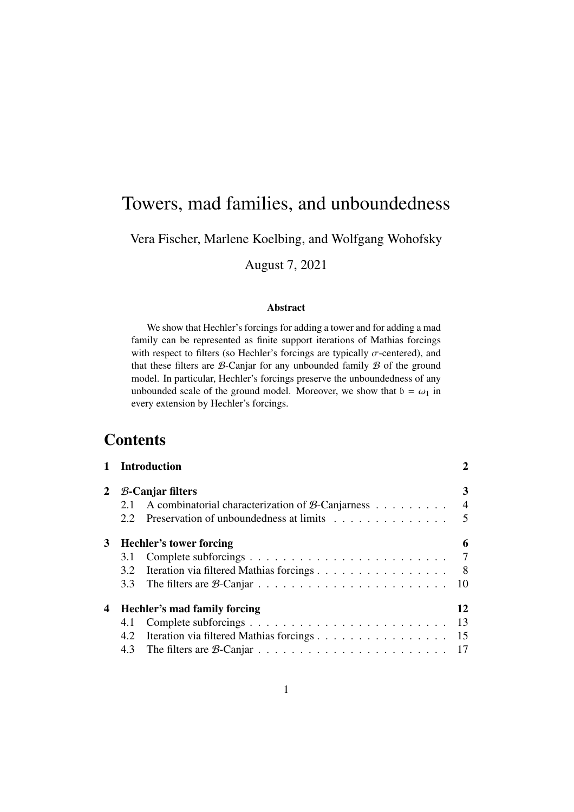# Towers, mad families, and unboundedness

## Vera Fischer, Marlene Koelbing, and Wolfgang Wohofsky

August 7, 2021

#### Abstract

We show that Hechler's forcings for adding a tower and for adding a mad family can be represented as finite support iterations of Mathias forcings with respect to filters (so Hechler's forcings are typically  $\sigma$ -centered), and that these filters are  $B$ -Canjar for any unbounded family  $B$  of the ground model. In particular, Hechler's forcings preserve the unboundedness of any unbounded scale of the ground model. Moreover, we show that  $b = \omega_1$  in every extension by Hechler's forcings.

# **Contents**

|   | 1 Introduction<br>$B$ -Canjar filters                          |                                         |    |  |  |  |
|---|----------------------------------------------------------------|-----------------------------------------|----|--|--|--|
| 2 |                                                                |                                         |    |  |  |  |
|   | A combinatorial characterization of $\beta$ -Canjarness<br>2.1 |                                         |    |  |  |  |
|   | 2.2                                                            | Preservation of unboundedness at limits | 5  |  |  |  |
| 3 | <b>Hechler's tower forcing</b>                                 |                                         |    |  |  |  |
|   | 3.1                                                            |                                         | 7  |  |  |  |
|   | 3.2                                                            | Iteration via filtered Mathias forcings | 8  |  |  |  |
|   | 3.3                                                            |                                         | 10 |  |  |  |
| 4 | Hechler's mad family forcing                                   |                                         |    |  |  |  |
|   | 4.1                                                            |                                         | 13 |  |  |  |
|   | 4.2                                                            | Iteration via filtered Mathias forcings | 15 |  |  |  |
|   | 4.3                                                            |                                         |    |  |  |  |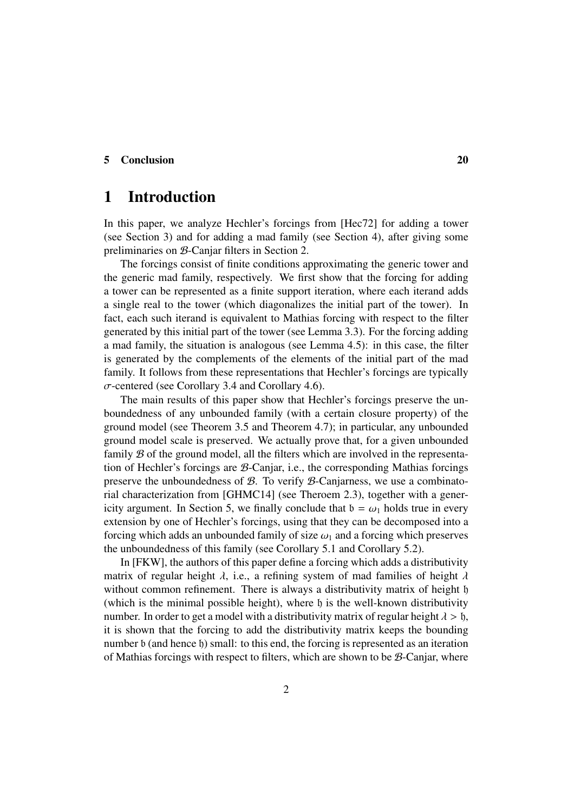#### 5 Conclusion 20

## 1 Introduction

In this paper, we analyze Hechler's forcings from [Hec72] for adding a tower (see Section 3) and for adding a mad family (see Section 4), after giving some preliminaries on B-Canjar filters in Section 2.

The forcings consist of finite conditions approximating the generic tower and the generic mad family, respectively. We first show that the forcing for adding a tower can be represented as a finite support iteration, where each iterand adds a single real to the tower (which diagonalizes the initial part of the tower). In fact, each such iterand is equivalent to Mathias forcing with respect to the filter generated by this initial part of the tower (see Lemma 3.3). For the forcing adding a mad family, the situation is analogous (see Lemma 4.5): in this case, the filter is generated by the complements of the elements of the initial part of the mad family. It follows from these representations that Hechler's forcings are typically  $\sigma$ -centered (see Corollary 3.4 and Corollary 4.6).

The main results of this paper show that Hechler's forcings preserve the unboundedness of any unbounded family (with a certain closure property) of the ground model (see Theorem 3.5 and Theorem 4.7); in particular, any unbounded ground model scale is preserved. We actually prove that, for a given unbounded family  $\mathcal B$  of the ground model, all the filters which are involved in the representation of Hechler's forcings are  $\beta$ -Canjar, i.e., the corresponding Mathias forcings preserve the unboundedness of  $\mathcal{B}$ . To verify  $\mathcal{B}$ -Canjarness, we use a combinatorial characterization from [GHMC14] (see Theroem 2.3), together with a genericity argument. In Section 5, we finally conclude that  $b = \omega_1$  holds true in every extension by one of Hechler's forcings, using that they can be decomposed into a forcing which adds an unbounded family of size  $\omega_1$  and a forcing which preserves the unboundedness of this family (see Corollary 5.1 and Corollary 5.2).

In [FKW], the authors of this paper define a forcing which adds a distributivity matrix of regular height  $\lambda$ , i.e., a refining system of mad families of height  $\lambda$ without common refinement. There is always a distributivity matrix of height h (which is the minimal possible height), where  $\mathfrak h$  is the well-known distributivity number. In order to get a model with a distributivity matrix of regular height  $\lambda > \mathfrak{h}$ , it is shown that the forcing to add the distributivity matrix keeps the bounding number b (and hence b) small: to this end, the forcing is represented as an iteration of Mathias forcings with respect to filters, which are shown to be  $\mathcal{B}$ -Canjar, where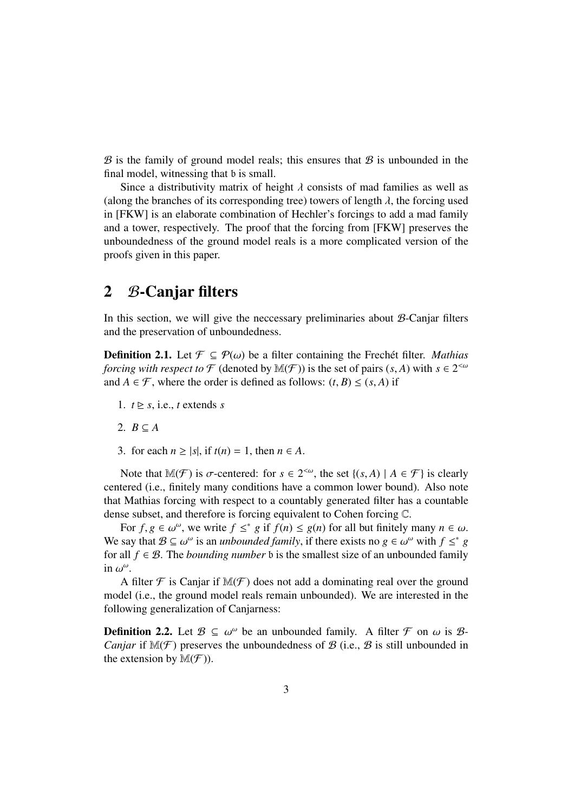$\mathcal B$  is the family of ground model reals; this ensures that  $\mathcal B$  is unbounded in the final model, witnessing that b is small.

Since a distributivity matrix of height  $\lambda$  consists of mad families as well as (along the branches of its corresponding tree) towers of length  $\lambda$ , the forcing used in [FKW] is an elaborate combination of Hechler's forcings to add a mad family and a tower, respectively. The proof that the forcing from [FKW] preserves the unboundedness of the ground model reals is a more complicated version of the proofs given in this paper.

## 2 B-Canjar filters

In this section, we will give the neccessary preliminaries about B-Canjar filters and the preservation of unboundedness.

**Definition 2.1.** Let  $\mathcal{F} \subseteq \mathcal{P}(\omega)$  be a filter containing the Frechet filter. *Mathias forcing with respect to*  $\mathcal F$  (denoted by  $\mathbb M(\mathcal F)$ ) is the set of pairs  $(s, A)$  with  $s \in 2^{< \omega}$ and  $A \in \mathcal{F}$ , where the order is defined as follows:  $(t, B) \leq (s, A)$  if

- 1.  $t \geq s$ , i.e., *t* extends *s*
- 2.  $B \subseteq A$
- 3. for each  $n \ge |s|$ , if  $t(n) = 1$ , then  $n \in A$ .

Note that  $\mathbb{M}(\mathcal{F})$  is  $\sigma$ -centered: for  $s \in 2^{&\omega}$ , the set  $\{(s, A) \mid A \in \mathcal{F}\}\$ is clearly centered (i.e., finitely many conditions have a common lower bound). Also note that Mathias forcing with respect to a countably generated filter has a countable dense subset, and therefore is forcing equivalent to Cohen forcing C.

For  $f, g \in \omega^{\omega}$ , we write  $f \leq^* g$  if  $f(n) \leq g(n)$  for all but finitely many  $n \in \omega$ . We say that  $B \subseteq \omega^\omega$  is an *unbounded family*, if there exists no  $g \in \omega^\omega$  with  $f \leq^* g$ for all  $f \in \mathcal{B}$ . The *bounding number* b is the smallest size of an unbounded family in  $\omega^{\omega}$ .

A filter  $\mathcal F$  is Canjar if  $\mathbb M(\mathcal F)$  does not add a dominating real over the ground model (i.e., the ground model reals remain unbounded). We are interested in the following generalization of Canjarness:

**Definition 2.2.** Let  $\mathcal{B} \subseteq \omega^{\omega}$  be an unbounded family. A filter  $\mathcal{F}$  on  $\omega$  is  $\mathcal{B}$ -*Canjar* if  $M(\mathcal{F})$  preserves the unboundedness of  $\mathcal{B}$  (i.e.,  $\mathcal{B}$  is still unbounded in the extension by  $\mathbb{M}(\mathcal{F})$ ).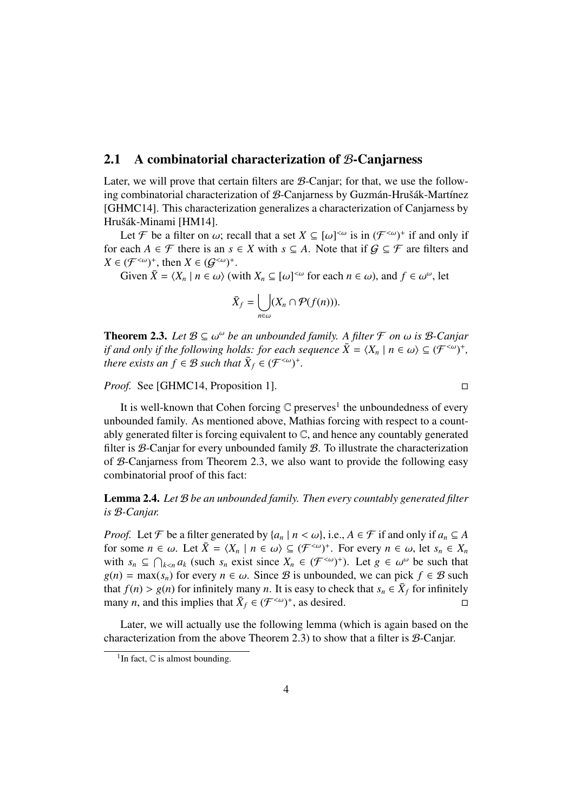### 2.1 A combinatorial characterization of B-Canjarness

Later, we will prove that certain filters are B-Canjar; for that, we use the following combinatorial characterization of  $B$ -Canjarness by Guzmán-Hrušák-Martínez [GHMC14]. This characterization generalizes a characterization of Canjarness by Hrušák-Minami [HM14].

Let F be a filter on  $\omega$ ; recall that a set  $X \subseteq [\omega]^{<\omega}$  is in  $(\mathcal{F}^{<\omega})^+$  if and only if for each  $A \in \mathcal{F}$  there is an  $s \in X$  with  $s \subseteq A$ . Note that if  $G \subseteq \mathcal{F}$  are filters and  $X \in (\mathcal{F}^{<\omega})^+$ , then  $X \in (\mathcal{G}^{<\omega})^+$ .

Given  $\bar{X} = \langle X_n | n \in \omega \rangle$  (with  $X_n \subseteq [\omega]^{<\omega}$  for each  $n \in \omega$ ), and  $f \in \omega^{\omega}$ , let

$$
\bar{X}_f = \bigcup_{n \in \omega} (X_n \cap \mathcal{P}(f(n))).
$$

**Theorem 2.3.** Let  $\mathcal{B} \subseteq \omega^{\omega}$  be an unbounded family. A filter  $\mathcal{F}$  on  $\omega$  is  $\mathcal{B}$ -Canjar *if and only if the following holds: for each sequence*  $\bar{X} = \langle X_n | n \in \omega \rangle \subseteq (\mathcal{F}^{<\omega})^+$ , *there exists an*  $f \in \mathcal{B}$  *such that*  $\bar{X}_f \in (\mathcal{F}^{<\omega})^+$ *.* 

*Proof.* See [GHMC14, Proposition 1]. □

It is well-known that Cohen forcing  $\mathbb C$  preserves<sup>1</sup> the unboundedness of every unbounded family. As mentioned above, Mathias forcing with respect to a countably generated filter is forcing equivalent to  $\mathbb{C}$ , and hence any countably generated filter is  $\mathcal{B}$ -Canjar for every unbounded family  $\mathcal{B}$ . To illustrate the characterization of B-Canjarness from Theorem 2.3, we also want to provide the following easy combinatorial proof of this fact:

Lemma 2.4. *Let* B *be an unbounded family. Then every countably generated filter is* B*-Canjar.*

*Proof.* Let F be a filter generated by  $\{a_n \mid n < \omega\}$ , i.e.,  $A \in \mathcal{F}$  if and only if  $a_n \subseteq A$ for some  $n \in \omega$ . Let  $\bar{X} = \langle X_n | n \in \omega \rangle \subseteq (\mathcal{F}^{<\omega})^+$ . For every  $n \in \omega$ , let  $s_n \in X_n$ with  $s_n \subseteq \bigcap_{k < n} a_k$  (such  $s_n$  exist since  $X_n \in (\mathcal{F}^{< \omega})^+$ ). Let  $g \in \omega^\omega$  be such that  $g(n) = \max(s_n)$  for every  $n \in \omega$ . Since B is unbounded, we can pick  $f \in \mathcal{B}$  such that  $f(n) > g(n)$  for infinitely many *n*. It is easy to check that  $s_n \in \overline{X}_f$  for infinitely many *n*, and this implies that  $\bar{X}_f \in (\mathcal{F}^{<\omega})^+$ , as desired.

Later, we will actually use the following lemma (which is again based on the characterization from the above Theorem 2.3) to show that a filter is B-Canjar.

<sup>&</sup>lt;sup>1</sup>In fact,  $\mathbb C$  is almost bounding.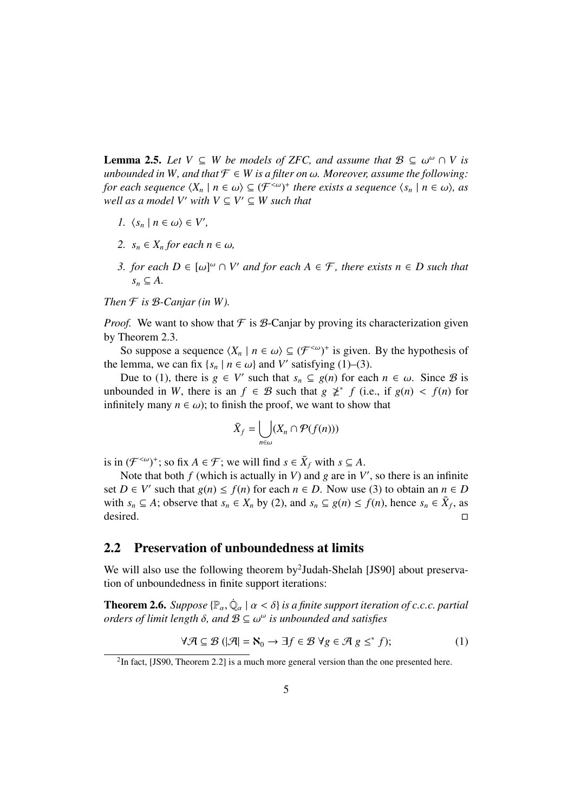**Lemma 2.5.** Let  $V \subseteq W$  be models of ZFC, and assume that  $B \subseteq \omega^{\omega} \cap V$  is *unbounded in W, and that*  $\mathcal{F} \in W$  *is a filter on*  $\omega$ *. Moreover, assume the following: for each sequence*  $\langle X_n \mid n \in \omega \rangle \subseteq (\mathcal{F}^{<\omega})^+$  *there exists a sequence*  $\langle s_n \mid n \in \omega \rangle$ , as *well as a model V' with*  $V \subseteq V' \subseteq W$  *such that* 

- *1.*  $\langle s_n | n \in \omega \rangle \in V',$
- 2.  $s_n \in X_n$  *for each*  $n \in \omega$ *,*
- *3. for each*  $D \in [\omega]^{\omega} \cap V'$  *and for each*  $A \in \mathcal{F}$ *, there exists*  $n \in D$  *such that*  $s_n \subseteq A$ .

*Then*  $\mathcal F$  *is*  $\mathcal B$ *-Canjar (in W).* 

*Proof.* We want to show that  $\mathcal F$  is  $\mathcal B$ -Canjar by proving its characterization given by Theorem 2.3.

So suppose a sequence  $\langle X_n | n \in \omega \rangle \subseteq (\mathcal{F}^{<\omega})^+$  is given. By the hypothesis of the lemma, we can fix  $\{s_n \mid n \in \omega\}$  and *V'* satisfying (1)–(3).

Due to (1), there is *g* ∈ *V*<sup>*n*</sup> such that  $s_n$  ⊆ *g*(*n*) for each  $n \in \omega$ . Since *B* is unbounded in *W*, there is an  $f \in \mathcal{B}$  such that  $g \not\geq^* f$  (i.e., if  $g(n) < f(n)$  for infinitely many  $n \in \omega$ ); to finish the proof, we want to show that

$$
\bar{X}_f = \bigcup_{n \in \omega} (X_n \cap \mathcal{P}(f(n)))
$$

is in  $(\mathcal{F}^{<\omega})^+$ ; so fix  $A \in \mathcal{F}$ ; we will find  $s \in \bar{X}_f$  with  $s \subseteq A$ .

Note that both  $f$  (which is actually in  $V$ ) and  $g$  are in  $V'$ , so there is an infinite set  $D \in V'$  such that  $g(n) \le f(n)$  for each  $n \in D$ . Now use (3) to obtain an  $n \in D$ with  $s_n \subseteq A$ ; observe that  $s_n \in X_n$  by (2), and  $s_n \subseteq g(n) \le f(n)$ , hence  $s_n \in \overline{X}_f$ , as desired. desired. □

## 2.2 Preservation of unboundedness at limits

We will also use the following theorem by<sup>2</sup>Judah-Shelah [JS90] about preservation of unboundedness in finite support iterations:

**Theorem 2.6.** *Suppose*  $\{\mathbb{P}_{\alpha}, \dot{\mathbb{Q}}_{\alpha} \mid \alpha < \delta\}$  *is a finite support iteration of c.c.c. partial orders of limit length*  $\delta$ , and  $\mathcal{B} \subseteq \omega^{\omega}$  *is unbounded and satisfies* 

$$
\forall \mathcal{A} \subseteq \mathcal{B} \left( \left| \mathcal{A} \right| = \mathbf{N}_0 \to \exists f \in \mathcal{B} \; \forall g \in \mathcal{A} \; g \leq^* f \right); \tag{1}
$$

<sup>&</sup>lt;sup>2</sup>In fact, [JS90, Theorem 2.2] is a much more general version than the one presented here.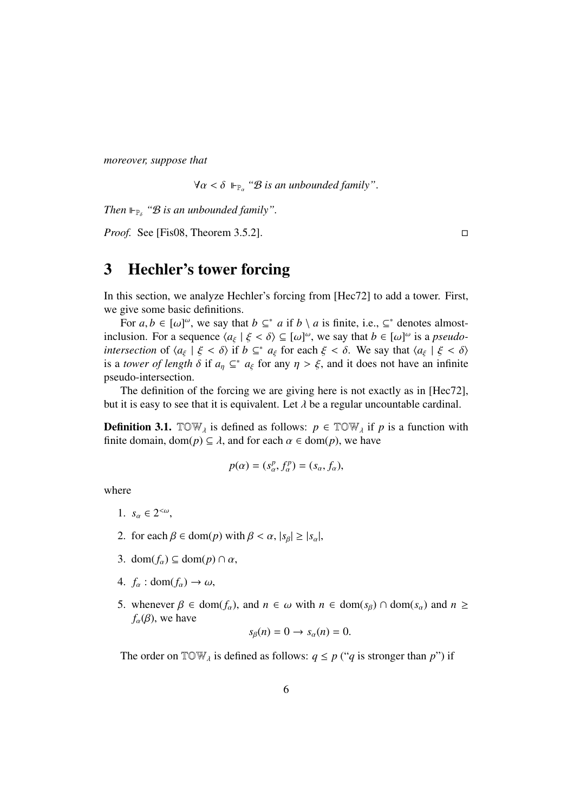*moreover, suppose that*

 $\forall \alpha < \delta \Vdash_{\mathbb{P}_{\alpha}} \mathscr{B}$  *is an unbounded family*".

*Then*  $\mathbb{F}_{\mathbb{P}_{\delta}}$  " $\mathcal{B}$  *is an unbounded family".* 

*Proof.* See [Fis08, Theorem 3.5.2].  $\Box$ 

## 3 Hechler's tower forcing

In this section, we analyze Hechler's forcing from [Hec72] to add a tower. First, we give some basic definitions.

For  $a, b \in [\omega]^\omega$ , we say that  $b \subseteq^* a$  if  $b \setminus a$  is finite, i.e.,  $\subseteq^*$  denotes almostinclusion. For a sequence  $\langle a_{\xi} | \xi < \delta \rangle \subseteq [\omega]^{\omega}$ , we say that  $b \in [\omega]^{\omega}$  is a *pseudointersection* of  $\langle a_{\xi} | \xi < \delta \rangle$  if  $b \subseteq^* a_{\xi}$  for each  $\xi < \delta$ . We say that  $\langle a_{\xi} | \xi < \delta \rangle$ is a *tower of length*  $\delta$  if  $a_n \subseteq^* a_\xi$  for any  $n > \xi$ , and it does not have an infinite pseudo-intersection.

The definition of the forcing we are giving here is not exactly as in [Hec72], but it is easy to see that it is equivalent. Let  $\lambda$  be a regular uncountable cardinal.

**Definition 3.1.** TOW<sub>*i*</sub> is defined as follows:  $p \in TOW_i$  if *p* is a function with finite domain, dom( $p$ )  $\subseteq \lambda$ , and for each  $\alpha \in \text{dom}(p)$ , we have

$$
p(\alpha) = (s_\alpha^p, f_\alpha^p) = (s_\alpha, f_\alpha),
$$

where

- 1.  $s_{\alpha} \in 2^{<\omega}$ ,
- 2. for each  $\beta \in \text{dom}(p)$  with  $\beta < \alpha$ ,  $|s_{\beta}| \geq |s_{\alpha}|$ ,
- 3. dom( $f_{\alpha}$ )  $\subseteq$  dom( $p$ )  $\cap \alpha$ ,
- 4.  $f_{\alpha}$  : dom( $f_{\alpha}$ )  $\rightarrow \omega$ ,
- 5. whenever  $\beta \in \text{dom}(f_\alpha)$ , and  $n \in \omega$  with  $n \in \text{dom}(s_\beta) \cap \text{dom}(s_\alpha)$  and  $n \geq$  $f_{\alpha}(\beta)$ , we have

$$
s_{\beta}(n)=0\rightarrow s_{\alpha}(n)=0.
$$

The order on  $\text{TOW}_{\lambda}$  is defined as follows:  $q \leq p$  ("*q* is stronger than *p*") if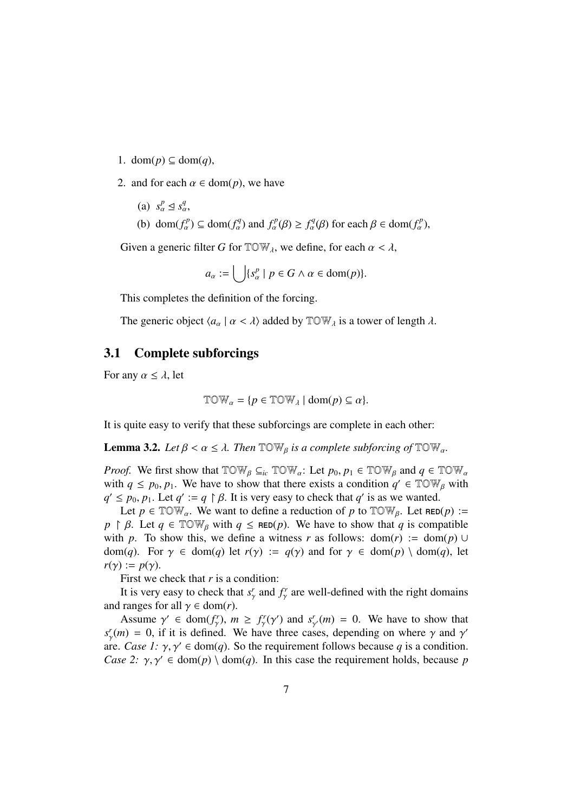- 1. dom( $p$ )  $\subseteq$  dom( $q$ ),
- 2. and for each  $\alpha \in \text{dom}(p)$ , we have
	- (a)  $s_\alpha^p \leq s_\alpha^q$ ,
	- (b) dom $(f_\alpha^p) \subseteq \text{dom}(f_\alpha^q)$  and  $f_\alpha^p(\beta) \ge f_\alpha^q(\beta)$  for each  $\beta \in \text{dom}(f_\alpha^p)$ ,

Given a generic filter *G* for  $TOW<sub>\lambda</sub>$ , we define, for each  $\alpha < \lambda$ ,

$$
a_{\alpha} := \bigcup \{ s_{\alpha}^p \mid p \in G \land \alpha \in \text{dom}(p) \}.
$$

This completes the definition of the forcing.

The generic object  $\langle a_{\alpha} | \alpha < \lambda \rangle$  added by  $\mathbb{T} \mathbb{O} \mathbb{W}_{\lambda}$  is a tower of length  $\lambda$ .

## 3.1 Complete subforcings

For any  $\alpha \leq \lambda$ , let

$$
\mathbb{T} \mathbb{OW}_{\alpha} = \{ p \in \mathbb{T} \mathbb{OW}_{\lambda} \mid \text{dom}(p) \subseteq \alpha \}.
$$

It is quite easy to verify that these subforcings are complete in each other:

**Lemma 3.2.** Let  $\beta < \alpha \leq \lambda$ . Then  $\mathbb{T} \mathbb{OW}_\beta$  is a complete subforcing of  $\mathbb{T} \mathbb{OW}_\alpha$ .

*Proof.* We first show that  $\text{TOW}_{\beta} \subseteq_{ic} \text{TOW}_{\alpha}$ : Let  $p_0, p_1 \in \text{TOW}_{\beta}$  and  $q \in \text{TOW}_{\alpha}$ with  $q \leq p_0, p_1$ . We have to show that there exists a condition  $q' \in TOW_B$  with  $q' \leq p_0, p_1$ . Let  $q' := q \upharpoonright \beta$ . It is very easy to check that  $q'$  is as we wanted.

Let  $p \in \text{TOW}_{\alpha}$ . We want to define a reduction of p to  $\text{TOW}_{\beta}$ . Let  $\text{RED}(p) :=$  $p \restriction \beta$ . Let  $q \in \mathbb{TOW}_{\beta}$  with  $q \leq \mathsf{RED}(p)$ . We have to show that *q* is compatible with p. To show this, we define a witness r as follows:  $dom(r) := dom(p) \cup$ dom(*q*). For  $\gamma \in \text{dom}(q)$  let  $r(\gamma) := q(\gamma)$  and for  $\gamma \in \text{dom}(p) \setminus \text{dom}(q)$ , let  $r(\gamma) := p(\gamma)$ .

First we check that *r* is a condition:

It is very easy to check that  $s^r_\gamma$  and  $f^r_\gamma$  are well-defined with the right domains and ranges for all  $\gamma \in \text{dom}(r)$ .

Assume  $\gamma' \in \text{dom}(f^r_\gamma)$ ,  $m \ge f^r_\gamma(\gamma')$  and  $s^r_{\gamma'}(m) = 0$ . We have to show that  $s_r^r(m) = 0$ , if it is defined. We have three cases, depending on where  $\gamma$  and  $\gamma'$ are. *Case 1:*  $\gamma$ ,  $\gamma' \in \text{dom}(q)$ . So the requirement follows because *q* is a condition. *Case 2:*  $\gamma$ ,  $\gamma' \in \text{dom}(p) \setminus \text{dom}(q)$ . In this case the requirement holds, because *p*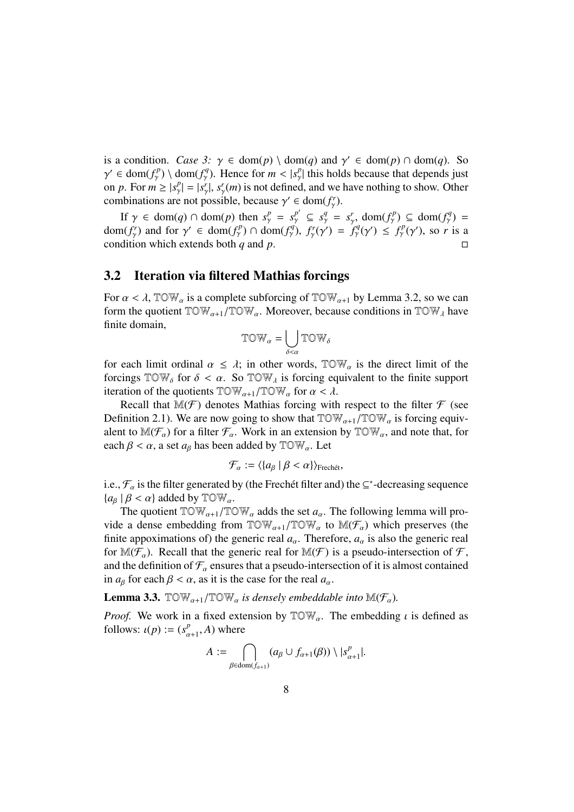is a condition. *Case 3:*  $\gamma \in \text{dom}(p) \setminus \text{dom}(q)$  and  $\gamma' \in \text{dom}(p) \cap \text{dom}(q)$ . So  $\gamma' \in \text{dom}(f^p_\gamma) \setminus \text{dom}(f^q_\gamma)$ . Hence for  $m < |s^p_\gamma|$  this holds because that depends just on *p*. For  $m \ge |s^p_\gamma| = |s^r_\gamma|$ ,  $s^r_\gamma(m)$  is not defined, and we have nothing to show. Other combinations are not possible, because  $\gamma' \in \text{dom}(f_{\gamma}^r)$ .

If  $\gamma \in \text{dom}(q) \cap \text{dom}(p)$  then  $s^p_\gamma = s^{p'}_\gamma \subseteq s^q_\gamma = s^r_\gamma \text{dom}(f^p_\gamma) \subseteq \text{dom}(f^q_\gamma) =$ dom $(f^r_\gamma)$  and for  $\gamma' \in \text{dom}(f^p_\gamma) \cap \text{dom}(f^q_\gamma)$ ,  $f^r_\gamma(\gamma') = f^q_\gamma(\gamma') \leq f^p_\gamma(\gamma')$ , so *r* is a condition which extends both *q* and *p*.  $\Box$ 

### 3.2 Iteration via filtered Mathias forcings

For  $\alpha < \lambda$ , TOW<sub>a</sub> is a complete subforcing of TOW<sub>a+1</sub> by Lemma 3.2, so we can form the quotient  $TOW_{\alpha+1}/TOW_{\alpha}$ . Moreover, because conditions in  $TOW_{\lambda}$  have finite domain,

$$
\mathbb{T}\mathbb{O}\mathbb{W}_\alpha=\bigcup_{\delta<\alpha}\mathbb{T}\mathbb{O}\mathbb{W}_\delta
$$

for each limit ordinal  $\alpha \leq \lambda$ ; in other words,  $TOW_{\alpha}$  is the direct limit of the forcings  $TOW_{\delta}$  for  $\delta < \alpha$ . So  $TOW_{\lambda}$  is forcing equivalent to the finite support iteration of the quotients  $\mathbb{T} \mathbb{O} \mathbb{W}_{\alpha+1}/\mathbb{T} \mathbb{O} \mathbb{W}_{\alpha}$  for  $\alpha < \lambda$ .

Recall that  $\mathbb{M}(\mathcal{F})$  denotes Mathias forcing with respect to the filter  $\mathcal{F}$  (see Definition 2.1). We are now going to show that  $TOW_{\alpha+1}/TOW_{\alpha}$  is forcing equivalent to  $\mathbb{M}(\mathcal{F}_{\alpha})$  for a filter  $\mathcal{F}_{\alpha}$ . Work in an extension by  $\mathbb{TOW}_{\alpha}$ , and note that, for each  $\beta < \alpha$ , a set  $a_{\beta}$  has been added by  $\mathbb{T} \mathbb{O} \mathbb{W}_{\alpha}$ . Let

$$
\mathcal{F}_{\alpha} := \langle \{a_{\beta} \mid \beta < \alpha\} \rangle_{\text{Frechét}},
$$

i.e.,  $\mathcal{F}_{\alpha}$  is the filter generated by (the Frechét filter and) the  $\subseteq^*$ -decreasing sequence  ${a_{\beta} | \beta < \alpha}$  added by  $\mathbb{T} \mathbb{O} \mathbb{W}_{\alpha}$ .

The quotient  $TOW_{\alpha+1}/TOW_{\alpha}$  adds the set  $a_{\alpha}$ . The following lemma will provide a dense embedding from  $TOW_{\alpha+1}/TOW_{\alpha}$  to  $M(F_{\alpha})$  which preserves (the finite appoximations of) the generic real  $a_{\alpha}$ . Therefore,  $a_{\alpha}$  is also the generic real for  $M(\mathcal{F}_{\alpha})$ . Recall that the generic real for  $M(\mathcal{F})$  is a pseudo-intersection of  $\mathcal{F}$ , and the definition of  $\mathcal{F}_{\alpha}$  ensures that a pseudo-intersection of it is almost contained in  $a_{\beta}$  for each  $\beta < \alpha$ , as it is the case for the real  $a_{\alpha}$ .

**Lemma 3.3.**  $\mathbb{T} \text{OW}_{\alpha+1}/\mathbb{T} \text{OW}_{\alpha}$  *is densely embeddable into*  $\mathbb{M}(\mathcal{F}_{\alpha})$ *.* 

*Proof.* We work in a fixed extension by  $TOW_\alpha$ . The embedding  $\iota$  is defined as follows:  $\iota(p) := (s_{\alpha+1}^p, A)$  where

$$
A := \bigcap_{\beta \in \text{dom}(f_{\alpha+1})} (a_{\beta} \cup f_{\alpha+1}(\beta)) \setminus |s^p_{\alpha+1}|.
$$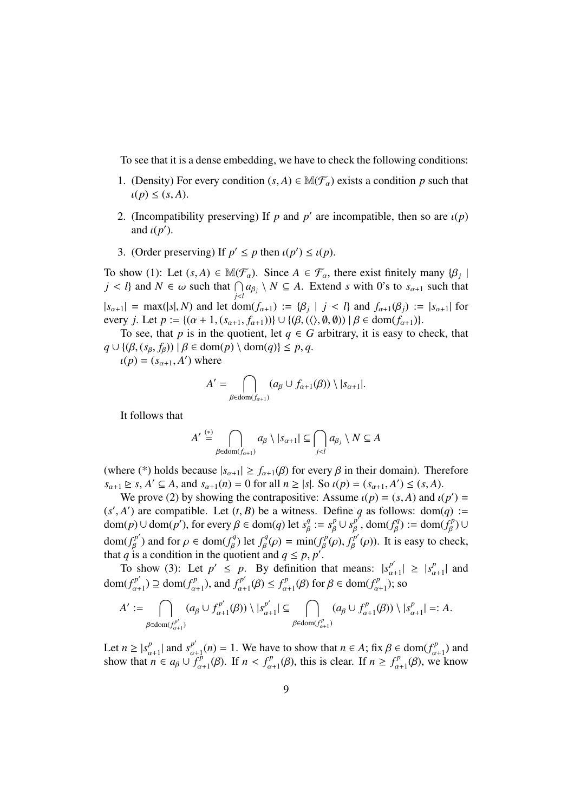To see that it is a dense embedding, we have to check the following conditions:

- 1. (Density) For every condition  $(s, A) \in \mathbb{M}(\mathcal{F}_{\alpha})$  exists a condition p such that  $\iota(p) \leq (s, A).$
- 2. (Incompatibility preserving) If *p* and *p'* are incompatible, then so are  $\iota(p)$ and  $\iota(p')$ .
- 3. (Order preserving) If  $p' \leq p$  then  $\iota(p') \leq \iota(p)$ .

To show (1): Let  $(s, A) \in \mathbb{M}(\mathcal{F}_\alpha)$ . Since  $A \in \mathcal{F}_\alpha$ , there exist finitely many  $\{\beta_j \mid$ *j* < *l*} and *N*  $\in \omega$  such that  $\bigcap_{j \leq l} a_{\beta_j} \setminus N \subseteq A$ . Extend *s* with 0's to  $s_{\alpha+1}$  such that  $|s_{\alpha+1}| = \max(|s|, N)$  and let dom $(f_{\alpha+1}) := {\beta_i | j < l}$  and  $f_{\alpha+1}(\beta_i) := |s_{\alpha+1}|$  for every *j*. Let  $p := \{ (\alpha + 1, (s_{\alpha+1}, f_{\alpha+1})) \} \cup \{ (\beta, (\langle \rangle, \emptyset, \emptyset)) \mid \beta \in \text{dom}(f_{\alpha+1}) \}.$ 

To see, that *p* is in the quotient, let  $q \in G$  arbitrary, it is easy to check, that  $q \cup \{ (\beta, (s_\beta, f_\beta)) \mid \beta \in \text{dom}(p) \setminus \text{dom}(q) \} \leq p, q.$ 

 $u(p) = (s_{\alpha+1}, A')$  where

$$
A' = \bigcap_{\beta \in \text{dom}(f_{\alpha+1})} (a_{\beta} \cup f_{\alpha+1}(\beta)) \setminus |s_{\alpha+1}|.
$$

It follows that

$$
A' \stackrel{(*)}{=} \bigcap_{\beta \in \text{dom}(f_{\alpha+1})} a_{\beta} \setminus |s_{\alpha+1}| \subseteq \bigcap_{j < l} a_{\beta_j} \setminus N \subseteq A
$$

(where (\*) holds because  $|s_{\alpha+1}| \ge f_{\alpha+1}(\beta)$  for every  $\beta$  in their domain). Therefore  $s_{\alpha+1} \ge s$ ,  $A' \subseteq A$ , and  $s_{\alpha+1}(n) = 0$  for all  $n \ge |s|$ . So  $\iota(p) = (s_{\alpha+1}, A') \le (s, A)$ .

We prove (2) by showing the contrapositive: Assume  $\iota(p) = (s, A)$  and  $\iota(p') =$  $(s', A')$  are compatible. Let  $(t, B)$  be a witness. Define *q* as follows:  $dom(q)$  :=  $dom(p) \cup dom(p'),$  for every  $\beta \in dom(q)$  let  $s_{\beta}^q := s_{\beta}^p \cup s_{\beta}^{p'}$ ,  $dom(f_{\beta}^q) := dom(f_{\beta}^p) \cup$ dom( $f_{\beta}^{p'}$ ) and for  $\rho \in \text{dom}(f_{\beta}^q)$  let  $f_{\beta}^q(\rho) = \min(f_{\beta}^p(\rho), f_{\beta}^{p'}(\rho))$ . It is easy to check, that *q* is a condition in the quotient and  $q \le p, p'$ .

To show (3): Let  $p' \leq p$ . By definition that means:  $|s_{\alpha+1}^{p'}| \geq |s_{\alpha+1}^{p'}|$  and dom( $f_{\alpha+1}^{p'}$ )  $\supseteq$  dom( $f_{\alpha+1}^{p}$ ), and  $f_{\alpha+1}^{p'}(\beta) \leq f_{\alpha+1}^{p}(\beta)$  for  $\beta \in \text{dom}(f_{\alpha+1}^{p})$ ; so

$$
A' := \bigcap_{\beta \in \text{dom}(f_{\alpha+1}^{p'})} (a_{\beta} \cup f_{\alpha+1}^{p'}(\beta)) \setminus |s_{\alpha+1}^{p'}| \subseteq \bigcap_{\beta \in \text{dom}(f_{\alpha+1}^p)} (a_{\beta} \cup f_{\alpha+1}^p(\beta)) \setminus |s_{\alpha+1}^p| =: A.
$$

Let  $n \ge |s_{\alpha+1}^p|$  and  $s_{\alpha+1}^{p'}(n) = 1$ . We have to show that  $n \in A$ ; fix  $\beta \in \text{dom}(f_{\alpha+1}^p)$  and show that  $n \in a_{\beta} \cup f_{\alpha+1}^p(\beta)$ . If  $n < f_{\alpha+1}^p(\beta)$ , this is clear. If  $n \ge f_{\alpha+1}^p(\beta)$ , we know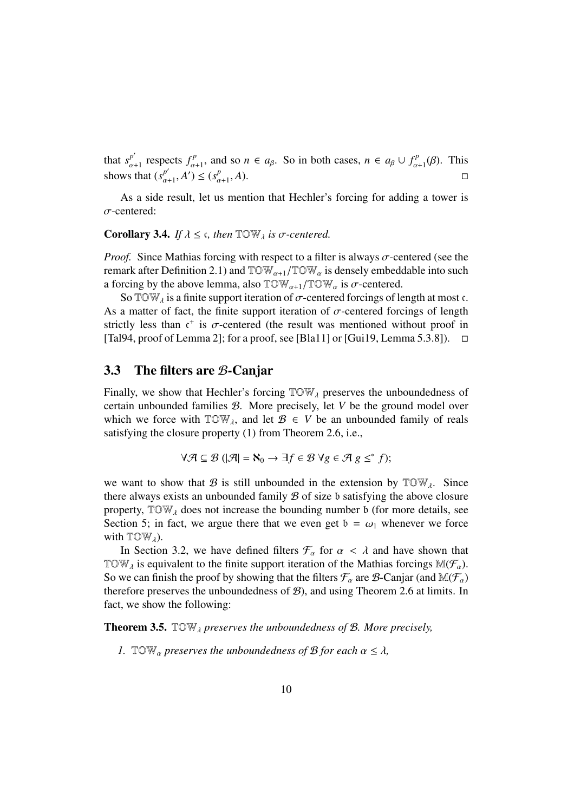that  $s_{\alpha+1}^{p'}$  respects  $f_{\alpha+1}^p$ , and so  $n \in a_\beta$ . So in both cases,  $n \in a_\beta \cup f_{\alpha+1}^p(\beta)$ . This shows that  $(s_{\alpha+1}^{p'}, A') \leq (s_{\alpha+1}^p, A)$ .

As a side result, let us mention that Hechler's forcing for adding a tower is  $\sigma$ -centered:

#### **Corollary 3.4.** *If*  $\lambda \leq \epsilon$ , *then*  $\text{TOW}_{\lambda}$  *is*  $\sigma$ -centered.

*Proof.* Since Mathias forcing with respect to a filter is always  $\sigma$ -centered (see the remark after Definition 2.1) and  $TOW_{\alpha+1}/TOW_{\alpha}$  is densely embeddable into such a forcing by the above lemma, also  $TOW_{\alpha+1}/TOW_{\alpha}$  is  $\sigma$ -centered.

So TOW<sub> $\lambda$ </sub> is a finite support iteration of  $\sigma$ -centered forcings of length at most c. As a matter of fact, the finite support iteration of  $\sigma$ -centered forcings of length strictly less than  $t^+$  is  $\sigma$ -centered (the result was mentioned without proof in  $[Ta194, proof of Lemma 2]$ ; for a proof, see [Bla11] or [Gui19, Lemma 5.3.8]).  $\Box$ 

### 3.3 The filters are B-Canjar

Finally, we show that Hechler's forcing  $TOW<sub>\lambda</sub>$  preserves the unboundedness of certain unbounded families B. More precisely, let *V* be the ground model over which we force with  $TOW_{\lambda}$ , and let  $\mathcal{B} \in V$  be an unbounded family of reals satisfying the closure property (1) from Theorem 2.6, i.e.,

$$
\forall \mathcal{A} \subseteq \mathcal{B} \ (\vert \mathcal{A} \vert = \mathbf{N}_0 \rightarrow \exists f \in \mathcal{B} \ \forall g \in \mathcal{A} \ g \leq^* f);
$$

we want to show that B is still unbounded in the extension by  $TOW<sub>A</sub>$ . Since there always exists an unbounded family  $B$  of size  $\mathfrak b$  satisfying the above closure property,  $TOW<sub>\lambda</sub>$  does not increase the bounding number b (for more details, see Section 5; in fact, we argue there that we even get  $b = \omega_1$  whenever we force with  $TOW<sub>\lambda</sub>$ ).

In Section 3.2, we have defined filters  $\mathcal{F}_{\alpha}$  for  $\alpha < \lambda$  and have shown that TOW, is equivalent to the finite support iteration of the Mathias forcings  $\mathbb{M}(\mathcal{F}_{\alpha})$ . So we can finish the proof by showing that the filters  $\mathcal{F}_{\alpha}$  are  $\mathcal{B}$ -Canjar (and  $\mathbb{M}(\mathcal{F}_{\alpha})$ therefore preserves the unboundedness of  $B$ ), and using Theorem 2.6 at limits. In fact, we show the following:

Theorem 3.5. TOW *preserves the unboundedness of* B*. More precisely,*

*1.* TOW<sub>a</sub> preserves the unboundedness of B for each  $\alpha \leq \lambda$ ,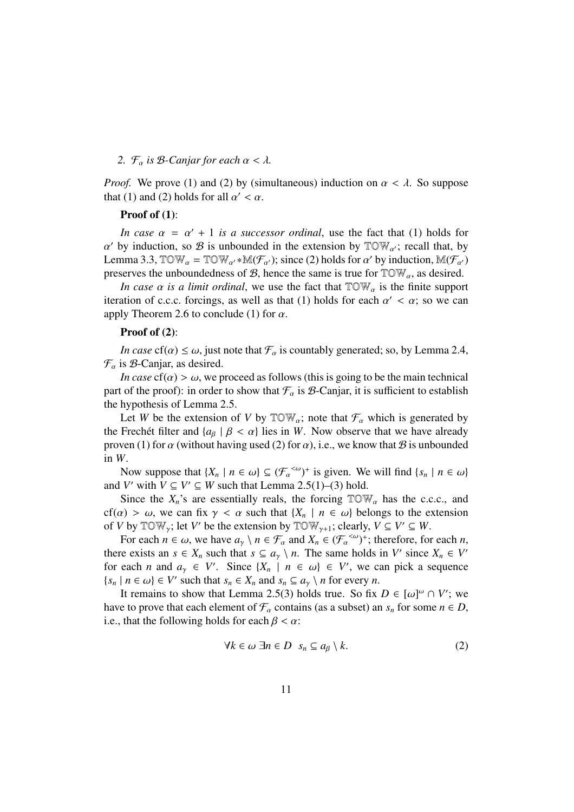#### 2.  $\mathcal{F}_{\alpha}$  *is*  $\beta$ -*Canjar for each*  $\alpha < \lambda$ .

*Proof.* We prove (1) and (2) by (simultaneous) induction on  $\alpha < \lambda$ . So suppose that (1) and (2) holds for all  $\alpha' < \alpha$ .

#### Proof of  $(1)$ :

*In case*  $\alpha = \alpha' + 1$  *is a successor ordinal*, use the fact that (1) holds for  $\alpha'$  by induction, so  $\beta$  is unbounded in the extension by  $\mathbb{T} \mathbb{O} \mathbb{W}_{\alpha'}$ ; recall that, by Lemma 3.3,  $TOW_\alpha = TOW_{\alpha'} \cdot M(F_{\alpha'})$ ; since (2) holds for  $\alpha'$  by induction,  $M(F_{\alpha'})$ preserves the unboundedness of  $\mathcal{B}$ , hence the same is true for  $\mathbb{T} \mathbb{O} \mathbb{W}_\alpha$ , as desired.

*In case*  $\alpha$  *is a limit ordinal*, we use the fact that  $TOW_{\alpha}$  is the finite support iteration of c.c.c. forcings, as well as that (1) holds for each  $\alpha' < \alpha$ ; so we can apply Theorem 2.6 to conclude (1) for  $\alpha$ .

#### Proof of  $(2)$ :

*In case*  $cf(\alpha) \leq \omega$ , just note that  $\mathcal{F}_{\alpha}$  is countably generated; so, by Lemma 2.4,  $\mathcal{F}_{\alpha}$  is  $\beta$ -Canjar, as desired.

*In case*  $cf(\alpha) > \omega$ , we proceed as follows (this is going to be the main technical part of the proof): in order to show that  $\mathcal{F}_{\alpha}$  is  $\mathcal{B}$ -Canjar, it is sufficient to establish the hypothesis of Lemma 2.5.

Let *W* be the extension of *V* by  $\mathbb{T} \mathbb{O} \mathbb{W}_\alpha$ ; note that  $\mathcal{F}_\alpha$  which is generated by the Frechet filter and  $\{a_{\beta} \mid \beta < \alpha\}$  lies in *W*. Now observe that we have already proven (1) for  $\alpha$  (without having used (2) for  $\alpha$ ), i.e., we know that  $\beta$  is unbounded in *W*.

Now suppose that  $\{X_n \mid n \in \omega\} \subseteq (\mathcal{F}_{\alpha}^{<\omega})^+$  is given. We will find  $\{s_n \mid n \in \omega\}$ and *V'* with  $V \subseteq V' \subseteq W$  such that Lemma 2.5(1)–(3) hold.

Since the  $X_n$ 's are essentially reals, the forcing  $TOW_\alpha$  has the c.c.c., and  $cf(\alpha) > \omega$ , we can fix  $\gamma < \alpha$  such that  ${X_n \mid n \in \omega}$  belongs to the extension of *V* by  $\mathbb{T} \circ \mathbb{W}_{\gamma}$ ; let *V'* be the extension by  $\mathbb{T} \circ \mathbb{W}_{\gamma+1}$ ; clearly,  $V \subseteq V' \subseteq W$ .

For each  $n \in \omega$ , we have  $a_{\gamma} \setminus n \in \mathcal{F}_{\alpha}$  and  $X_n \in (\mathcal{F}_{\alpha}^{<\omega})^+$ ; therefore, for each *n*, there exists an  $s \in X_n$  such that  $s \subseteq a_v \setminus n$ . The same holds in *V'* since  $X_n \in V'$ for each *n* and  $a_{\gamma} \in V'$ . Since  $\{X_n \mid n \in \omega\} \in V'$ , we can pick a sequence  $\{s_n \mid n \in \omega\} \in V'$  such that  $s_n \in X_n$  and  $s_n \subseteq a_\gamma \setminus n$  for every *n*.

It remains to show that Lemma 2.5(3) holds true. So fix  $D \in [\omega]^\omega \cap V'$ ; we have to prove that each element of  $\mathcal{F}_{\alpha}$  contains (as a subset) an  $s_n$  for some  $n \in D$ , i.e., that the following holds for each  $\beta < \alpha$ :

$$
\forall k \in \omega \; \exists n \in D \; s_n \subseteq a_\beta \setminus k. \tag{2}
$$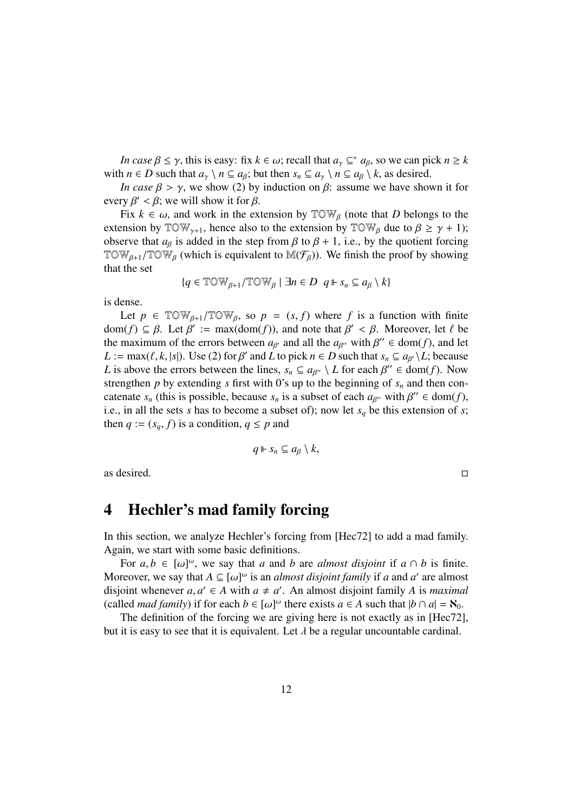*In case*  $\beta \leq \gamma$ , this is easy: fix  $k \in \omega$ ; recall that  $a_{\gamma} \subseteq^* a_{\beta}$ , so we can pick  $n \geq k$ with  $n \in D$  such that  $a_{\gamma} \setminus n \subseteq a_{\beta}$ ; but then  $s_n \subseteq a_{\gamma} \setminus n \subseteq a_{\beta} \setminus k$ , as desired.

*In case*  $\beta > \gamma$ , we show (2) by induction on  $\beta$ : assume we have shown it for every  $\beta' < \beta$ ; we will show it for  $\beta$ .

Fix  $k \in \omega$ , and work in the extension by  $\mathbb{TOW}_\beta$  (note that *D* belongs to the extension by  $\mathbb{T} \mathbb{OW}_{\gamma+1}$ , hence also to the extension by  $\mathbb{T} \mathbb{OW}_{\beta}$  due to  $\beta \geq \gamma + 1$ ); observe that  $a_{\beta}$  is added in the step from  $\beta$  to  $\beta + 1$ , i.e., by the quotient forcing TOW<sub> $\beta$ +1</sub>/TOW<sub> $\beta$ </sub> (which is equivalent to M( $\mathcal{F}_{\beta}$ )). We finish the proof by showing that the set

$$
\{q \in \mathbb{TOW}_{\beta+1}/\mathbb{TOW}_{\beta} \mid \exists n \in D \ \ q \Vdash s_n \subseteq a_{\beta} \setminus k\}
$$

is dense.

Let  $p \in \text{TOW}_{\beta+1}/\text{TOW}_{\beta}$ , so  $p = (s, f)$  where f is a function with finite dom( $f$ )  $\subseteq \beta$ . Let  $\beta' := \max(\text{dom}(f))$ , and note that  $\beta' < \beta$ . Moreover, let  $\ell$  be the maximum of the errors between  $a_{\beta'}$  and all the  $a_{\beta''}$  with  $\beta'' \in \text{dom}(f)$ , and let *L* := max( $\ell$ ,  $k$ , | $s$ |). Use (2) for  $\beta'$  and *L* to pick  $n \in D$  such that  $s_n \subseteq a_{\beta'} \setminus L$ ; because *L* is above the errors between the lines,  $s_n \subseteq a_{\beta'} \setminus L$  for each  $\beta'' \in \text{dom}(f)$ . Now strengthen  $p$  by extending  $s$  first with 0's up to the beginning of  $s_n$  and then concatenate  $s_n$  (this is possible, because  $s_n$  is a subset of each  $a_{\beta\gamma}$  with  $\beta'' \in \text{dom}(f)$ , i.e., in all the sets *s* has to become a subset of); now let  $s_q$  be this extension of *s*; then  $q := (s_q, f)$  is a condition,  $q \leq p$  and

$$
q \Vdash s_n \subseteq a_\beta \setminus k,
$$

as desired.  $\Box$ 

## 4 Hechler's mad family forcing

In this section, we analyze Hechler's forcing from [Hec72] to add a mad family. Again, we start with some basic definitions.

For  $a, b \in [\omega]^\omega$ , we say that *a* and *b* are *almost disjoint* if  $a \cap b$  is finite. Moreover, we say that  $A \subseteq [\omega]^\omega$  is an *almost disjoint family* if *a* and *a'* are almost disjoint whenever  $a, a' \in A$  with  $a \neq a'$ . An almost disjoint family *A* is *maximal* (called *mad family*) if for each  $b \in [\omega]^\omega$  there exists  $a \in A$  such that  $|b \cap a| = \aleph_0$ .

The definition of the forcing we are giving here is not exactly as in [Hec72], but it is easy to see that it is equivalent. Let  $\lambda$  be a regular uncountable cardinal.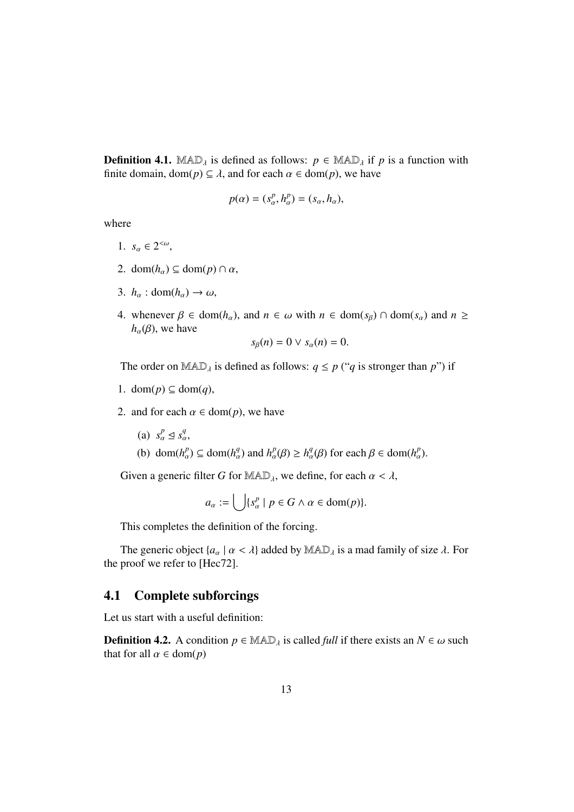**Definition 4.1.** MAD<sub> $\lambda$ </sub> is defined as follows:  $p \in \text{MAD}_{\lambda}$  if *p* is a function with finite domain, dom( $p$ )  $\subseteq \lambda$ , and for each  $\alpha \in \text{dom}(p)$ , we have

$$
p(\alpha) = (s_\alpha^p, h_\alpha^p) = (s_\alpha, h_\alpha),
$$

where

- 1.  $s_{\alpha} \in 2^{<\omega}$ ,
- 2. dom( $h_{\alpha}$ )  $\subseteq$  dom( $p$ )  $\cap \alpha$ ,
- 3.  $h_{\alpha}$  : dom( $h_{\alpha}$ )  $\rightarrow \omega$ ,
- 4. whenever  $\beta \in \text{dom}(h_\alpha)$ , and  $n \in \omega$  with  $n \in \text{dom}(s_\beta) \cap \text{dom}(s_\alpha)$  and  $n \geq$  $h_{\alpha}(\beta)$ , we have

$$
s_{\beta}(n)=0 \vee s_{\alpha}(n)=0.
$$

The order on  $MAD<sub>\lambda</sub>$  is defined as follows:  $q \le p$  ("*q* is stronger than *p*") if

- 1. dom( $p$ )  $\subseteq$  dom( $q$ ),
- 2. and for each  $\alpha \in \text{dom}(p)$ , we have
	- (a)  $s_\alpha^p \leq s_\alpha^q$ ,
	- (b) dom $(h_{\alpha}^p) \subseteq \text{dom}(h_{\alpha}^q)$  and  $h_{\alpha}^p(\beta) \ge h_{\alpha}^q(\beta)$  for each  $\beta \in \text{dom}(h_{\alpha}^p)$ .

Given a generic filter *G* for MAD<sub> $\lambda$ </sub>, we define, for each  $\alpha < \lambda$ ,

$$
a_{\alpha} := \bigcup \{ s_{\alpha}^p \mid p \in G \land \alpha \in \text{dom}(p) \}.
$$

This completes the definition of the forcing.

The generic object  $\{a_{\alpha} \mid \alpha < \lambda\}$  added by  $\mathbb{MAD}_{\lambda}$  is a mad family of size  $\lambda$ . For the proof we refer to [Hec72].

## 4.1 Complete subforcings

Let us start with a useful definition:

**Definition 4.2.** A condition  $p \in \mathbb{MAD}_\lambda$  is called *full* if there exists an  $N \in \omega$  such that for all  $\alpha \in \text{dom}(p)$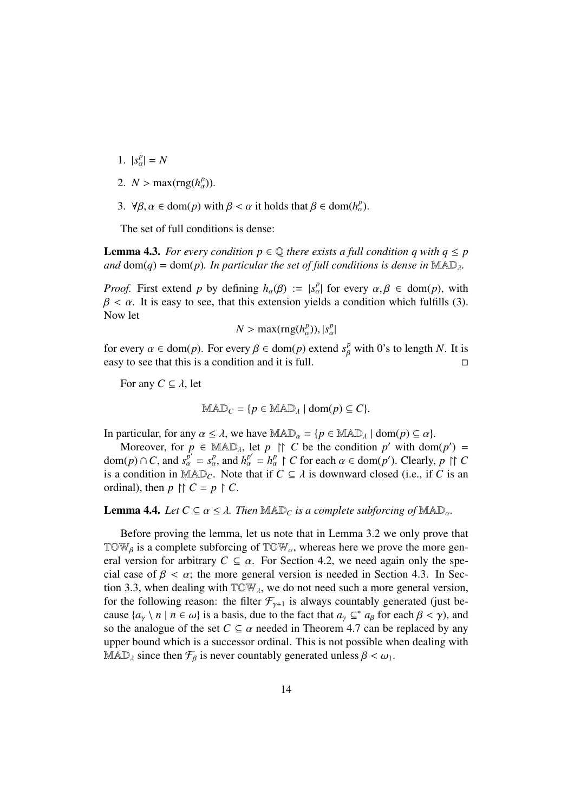- 1.  $|s_{\alpha}^{p}| = N$
- 2.  $N > \max(\text{rng}(h_{\alpha}^{p}))$ .
- 3.  $\forall \beta, \alpha \in \text{dom}(p) \text{ with } \beta < \alpha \text{ it holds that } \beta \in \text{dom}(h_{\alpha}^p).$

The set of full conditions is dense:

**Lemma 4.3.** *For every condition*  $p \in \mathbb{Q}$  *there exists a full condition q with*  $q \leq p$ *and*  $dom(q) = dom(p)$ *. In particular the set of full conditions is dense in*  $MAD<sub>λ</sub>$ *.* 

*Proof.* First extend *p* by defining  $h_{\alpha}(\beta) := |s_{\alpha}^p|$  for every  $\alpha, \beta \in \text{dom}(p)$ , with  $\beta < \alpha$ . It is easy to see, that this extension yields a condition which fulfills (3). Now let

$$
N > \max(\text{rng}(h_{\alpha}^p)), |s_{\alpha}^p|
$$

for every  $\alpha \in \text{dom}(p)$ . For every  $\beta \in \text{dom}(p)$  extend  $s_{\beta}^p$  with 0's to length *N*. It is easy to see that this is a condition and it is full.  $\Box$ 

For any  $C \subseteq \lambda$ , let

$$
\mathbb{MAD}_C = \{ p \in \mathbb{MAD}_\lambda \mid \text{dom}(p) \subseteq C \}.
$$

In particular, for any  $\alpha \leq \lambda$ , we have  $\text{MAD}_{\alpha} = \{p \in \text{MAD}_{\lambda} \mid \text{dom}(p) \subseteq \alpha\}.$ 

Moreover, for  $p \in \text{MAD}_{\lambda}$ , let  $p \upharpoonright C$  be the condition  $p'$  with dom $(p') =$  $dom(p) \cap C$ , and  $s_\alpha^{\overline{p'}} = s_\alpha^p$ , and  $h_\alpha^{\overline{p'}} = h_\alpha^p \upharpoonright C$  for each  $\alpha \in dom(p')$ . Clearly,  $p \upharpoonright C$ is a condition in MAD<sub>C</sub>. Note that if  $C \subseteq \lambda$  is downward closed (i.e., if C is an ordinal), then  $p \upharpoonright C = p \upharpoonright C$ .

**Lemma 4.4.** Let  $C \subseteq \alpha \leq \lambda$ . Then  $\text{MAD}_C$  is a complete subforcing of  $\text{MAD}_\alpha$ .

Before proving the lemma, let us note that in Lemma 3.2 we only prove that TOW<sub>B</sub> is a complete subforcing of TOW<sub>a</sub>, whereas here we prove the more general version for arbitrary  $C \subseteq \alpha$ . For Section 4.2, we need again only the special case of  $\beta < \alpha$ ; the more general version is needed in Section 4.3. In Section 3.3, when dealing with  $TOW<sub>A</sub>$ , we do not need such a more general version, for the following reason: the filter  $\mathcal{F}_{\gamma+1}$  is always countably generated (just because  $\{a_{\gamma} \mid n \in \omega\}$  is a basis, due to the fact that  $a_{\gamma} \subseteq^* a_{\beta}$  for each  $\beta < \gamma$ ), and so the analogue of the set  $C \subseteq \alpha$  needed in Theorem 4.7 can be replaced by any upper bound which is a successor ordinal. This is not possible when dealing with MAD<sub> $\lambda$ </sub> since then  $\mathcal{F}_{\beta}$  is never countably generated unless  $\beta < \omega_1$ .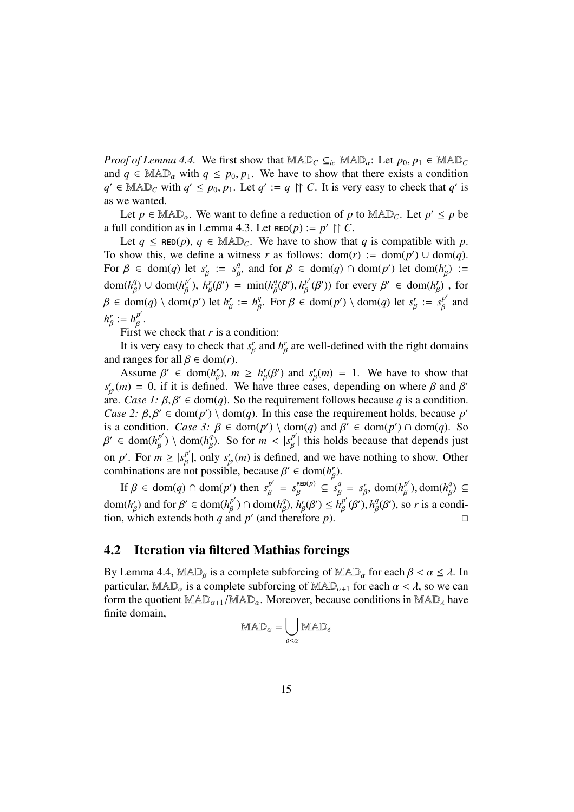*Proof of Lemma 4.4.* We first show that  $\text{MAD}_C \subseteq_{ic} \text{MAD}_\alpha$ : Let  $p_0, p_1 \in \text{MAD}_C$ and  $q \in \text{MAD}_\alpha$  with  $q \leq p_0, p_1$ . We have to show that there exists a condition  $q' \in \mathbb{MAD}_C$  with  $q' \leq p_0, p_1$ . Let  $q' := q \cap C$ . It is very easy to check that  $q'$  is as we wanted.

Let  $p \in \text{MAD}_{\alpha}$ . We want to define a reduction of p to  $\text{MAD}_C$ . Let  $p' \leq p$  be a full condition as in Lemma 4.3. Let  $\text{RED}(p) := p' \upharpoonright C$ .

Let  $q \leq \text{RED}(p)$ ,  $q \in \text{MAD}_C$ . We have to show that *q* is compatible with *p*. To show this, we define a witness *r* as follows:  $dom(r) := dom(p') \cup dom(q)$ . For  $\beta \in \text{dom}(q)$  let  $s_{\beta}^r := s_{\beta}^q$ , and for  $\beta \in \text{dom}(q) \cap \text{dom}(p')$  let  $\text{dom}(h_{\beta}^r) :=$ dom( $h_{\beta}^q$ )  $\cup$  dom( $h_{\beta}^{p'}$ ),  $h_{\beta}^r(\beta') = \min(h_{\beta}^q(\beta'), h_{\beta}^{p'}(\beta'))$  for every  $\beta' \in \text{dom}(h_{\beta}')$ , for  $\beta \in \text{dom}(q) \setminus \text{dom}(p')$  let  $h_{\beta}^r := h_{\beta}^q$ . For  $\beta \in \text{dom}(p') \setminus \text{dom}(q)$  let  $s_{\beta}^r := s_{\beta}^{p'}$  and  $h_{\beta}^r := h_{\beta}^{p'}$ .

First we check that *r* is a condition:

It is very easy to check that  $s^r_\beta$  and  $h^r_\beta$  are well-defined with the right domains and ranges for all  $\beta \in \text{dom}(r)$ .

Assume  $\beta' \in \text{dom}(h_{\beta}^r)$ ,  $m \geq h_{\beta}^r(\beta')$  and  $s_{\beta}^r(m) = 1$ . We have to show that  $s_{\beta}^r(m) = 0$ , if it is defined. We have three cases, depending on where  $\beta$  and  $\beta'$ are. *Case 1:*  $\beta$ ,  $\beta' \in \text{dom}(q)$ . So the requirement follows because q is a condition. *Case 2:*  $\beta$ ,  $\beta' \in \text{dom}(p') \setminus \text{dom}(q)$ . In this case the requirement holds, because *p'* is a condition. *Case 3*:  $\beta \in \text{dom}(p') \setminus \text{dom}(q)$  and  $\beta' \in \text{dom}(p') \cap \text{dom}(q)$ . So  $\beta' \in \text{dom}(h_\beta^{p'}) \setminus \text{dom}(h_\beta^q)$ . So for  $m < |s_\beta^{p'}|$  this holds because that depends just on *p'*. For  $m \ge |s_{\beta}^{p'}|$ , only  $s_{\beta'}(m)$  is defined, and we have nothing to show. Other combinations are not possible, because  $\beta' \in \text{dom}(h_{\beta}')$ .

If  $\beta \in \text{dom}(q) \cap \text{dom}(p')$  then  $s_\beta^{p'} = s_\beta^{reo(p)} \subseteq s_\beta^q = s_\beta^r$ ,  $\text{dom}(h_\beta^{p'})$ ,  $\text{dom}(h_\beta^q) \subseteq$ dom $(h_{\beta}^r)$  and for  $\beta' \in \text{dom}(h_{\beta}^{p'}) \cap \text{dom}(h_{\beta}^q), h_{\beta}^r(\beta') \leq h_{\beta}^{p'}(\beta'), h_{\beta}^q(\beta'),$  so *r* is a condition, which extends both *q* and *p'* (and therefore *p*).

### 4.2 Iteration via filtered Mathias forcings

By Lemma 4.4, MAD<sub>β</sub> is a complete subforcing of MAD<sub>*a*</sub> for each  $\beta < \alpha \leq \lambda$ . In particular, MAD<sub>a</sub> is a complete subforcing of MAD<sub>a+1</sub> for each  $\alpha < \lambda$ , so we can form the quotient  $MAD_{\alpha+1}/MAD_{\alpha}$ . Moreover, because conditions in  $MAD_{\alpha}$  have finite domain,

$$
\mathrm{MAD}_\alpha = \bigcup_{\delta < \alpha} \mathrm{MAD}_\delta
$$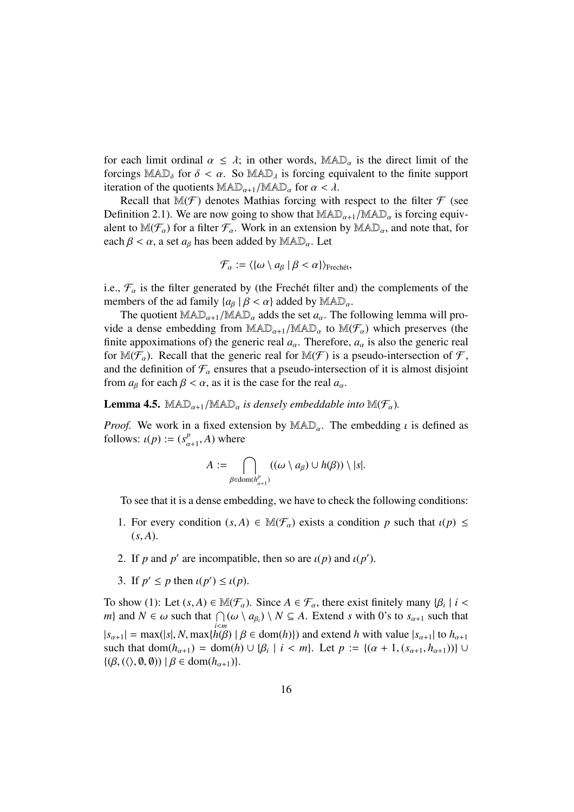for each limit ordinal  $\alpha \leq \lambda$ ; in other words, MAD<sub> $\alpha$ </sub> is the direct limit of the forcings MAD<sub> $\delta$ </sub> for  $\delta < \alpha$ . So MAD<sub> $\lambda$ </sub> is forcing equivalent to the finite support iteration of the quotients  $\text{MAD}_{\alpha+1}/\text{MAD}_{\alpha}$  for  $\alpha < \lambda$ .

Recall that  $\mathbb{M}(\mathcal{F})$  denotes Mathias forcing with respect to the filter  $\mathcal F$  (see Definition 2.1). We are now going to show that  $\text{MAD}_{\alpha+1}/\text{MAD}_{\alpha}$  is forcing equivalent to  $M(\mathcal{F}_{\alpha})$  for a filter  $\mathcal{F}_{\alpha}$ . Work in an extension by  $MAD_{\alpha}$ , and note that, for each  $\beta < \alpha$ , a set  $a_{\beta}$  has been added by  $\mathbb{MAD}_{\alpha}$ . Let

$$
\mathcal{F}_{\alpha} := \langle \{\omega \setminus a_{\beta} \mid \beta < \alpha\} \rangle_{\text{Frech\acute{e}t}},
$$

i.e.,  $\mathcal{F}_{\alpha}$  is the filter generated by (the Frechet filter and) the complements of the members of the ad family  ${a_{\beta} | \beta < \alpha}$  added by  $MAD_{\alpha}$ .

The quotient  $\text{MAD}_{\alpha+1}/\text{MAD}_{\alpha}$  adds the set  $a_{\alpha}$ . The following lemma will provide a dense embedding from  $\text{MAD}_{\alpha+1}/\text{MAD}_{\alpha}$  to  $\text{M}(\mathcal{F}_{\alpha})$  which preserves (the finite appoximations of) the generic real  $a_{\alpha}$ . Therefore,  $a_{\alpha}$  is also the generic real for  $M(\mathcal{F}_{\alpha})$ . Recall that the generic real for  $M(\mathcal{F})$  is a pseudo-intersection of  $\mathcal{F}$ , and the definition of  $\mathcal{F}_{\alpha}$  ensures that a pseudo-intersection of it is almost disjoint from  $a_{\beta}$  for each  $\beta < \alpha$ , as it is the case for the real  $a_{\alpha}$ .

#### **Lemma 4.5.** MAD<sub> $\alpha+1$ </sub>/MAD<sub> $\alpha$ </sub> *is densely embeddable into* M( $\mathcal{F}_{\alpha}$ ).

*Proof.* We work in a fixed extension by  $\text{MAD}_{\alpha}$ . The embedding  $\iota$  is defined as follows:  $\iota(p) := (s_{\alpha+1}^p, A)$  where

$$
A := \bigcap_{\beta \in \text{dom}(h_{\alpha+1}^p)} ((\omega \setminus a_{\beta}) \cup h(\beta)) \setminus |s|.
$$

To see that it is a dense embedding, we have to check the following conditions:

- 1. For every condition  $(s, A) \in M(\mathcal{F}_{\alpha})$  exists a condition p such that  $\iota(p) \leq$  $(s, A)$ .
- 2. If *p* and *p'* are incompatible, then so are  $\iota(p)$  and  $\iota(p')$ .
- 3. If  $p' \leq p$  then  $\iota(p') \leq \iota(p)$ .

To show (1): Let  $(s, A) \in M(\mathcal{F}_\alpha)$ . Since  $A \in \mathcal{F}_\alpha$ , there exist finitely many  $\{\beta_i \mid i <$ *m*} and  $N \in \omega$  such that  $\bigcap_{i=1}^n (\omega \setminus a_{\beta_i}) \setminus N \subseteq A$ . Extend *s* with 0's to  $s_{\alpha+1}$  such that  $|s_{\alpha+1}| = \max(|s|, N, \max\{h(\beta) \mid \beta \in \text{dom}(h)\})$  and extend *h* with value  $|s_{\alpha+1}|$  to  $h_{\alpha+1}$ such that dom( $h_{\alpha+1}$ ) = dom( $h$ )  $\cup \{\beta_i \mid i < m\}$ . Let  $p := \{(\alpha+1, (s_{\alpha+1}, h_{\alpha+1}))\}$  $\{(\beta, (\langle \rangle, \emptyset, \emptyset)) \mid \beta \in \text{dom}(h_{\alpha+1})\}.$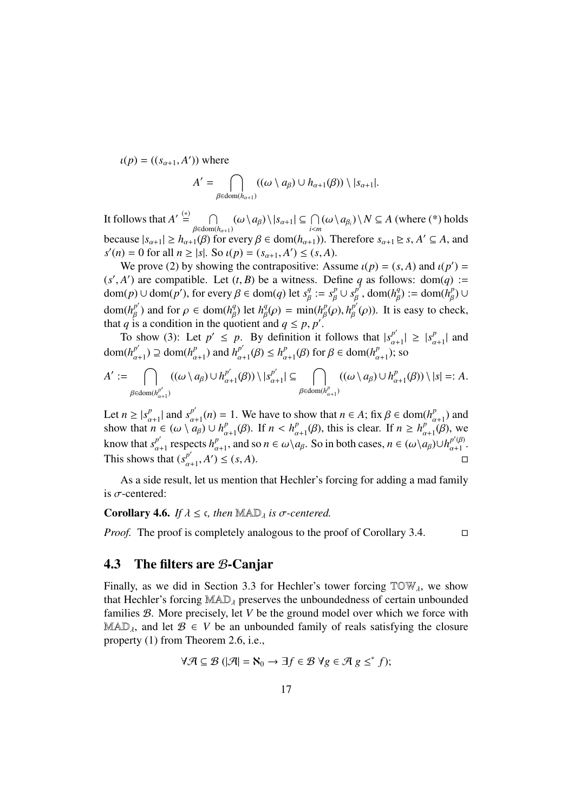$u(p) = ((s_{\alpha+1}, A'))$  where  $A' =$  $\cap$ 

$$
A' = \bigcap_{\beta \in \text{dom}(h_{\alpha+1})} ((\omega \setminus a_{\beta}) \cup h_{\alpha+1}(\beta)) \setminus |s_{\alpha+1}|.
$$

It follows that  $A' \stackrel{(*)}{=} \cap$  $\bigcap_{\beta \in \text{dom}(h_{\alpha+1})} (\omega \setminus a_{\beta}) \setminus |s_{\alpha+1}| \subseteq \bigcap_{i \leq m} (\omega \setminus a_{\beta_i}) \setminus N \subseteq A$  (where (\*) holds because  $|s_{\alpha+1}| \geq h_{\alpha+1}(\beta)$  for every  $\beta \in \text{dom}(h_{\alpha+1})$ ). Therefore  $s_{\alpha+1} \geq s$ ,  $A' \subseteq A$ , and  $s'(n) = 0$  for all  $n \ge |s|$ . So  $\iota(p) = (s_{\alpha+1}, A') \le (s, A)$ .

We prove (2) by showing the contrapositive: Assume  $\iota(p) = (s, A)$  and  $\iota(p') =$  $(s', A')$  are compatible. Let  $(t, B)$  be a witness. Define *q* as follows:  $dom(q)$  :=  $dom(p) \cup dom(p'),$  for every  $\beta \in dom(q)$  let  $s_{\beta}^q := s_{\beta}^p \cup s_{\beta}^{p'}$ ,  $dom(h_{\beta}^q) := dom(h_{\beta}^p) \cup$ dom( $h_{\beta}^{p'}$ ) and for  $\rho \in \text{dom}(h_{\beta}^{q})$  let  $h_{\beta}^{q}(\rho) = \min(h_{\beta}^{p}(\rho), h_{\beta}^{p'}(\rho))$ . It is easy to check, that *q* is a condition in the quotient and  $q \le p, p'$ .

To show (3): Let  $p' \leq p$ . By definition it follows that  $|s_{\alpha+1}^{p'}| \geq |s_{\alpha+1}^{p'}|$  and dom( $h_{\alpha+1}^{p'}$ )  $\supseteq$  dom( $h_{\alpha+1}^{p'}$ ) and  $h_{\alpha+1}^{p'}(\beta) \leq h_{\alpha+1}^{p}(\beta)$  for  $\beta \in \text{dom}(h_{\alpha+1}^{p'})$ ; so

$$
A' := \bigcap_{\beta \in \text{dom}(h_{\alpha+1}^{p'})} ((\omega \setminus a_{\beta}) \cup h_{\alpha+1}^{p'}(\beta)) \setminus |s_{\alpha+1}^{p'}| \subseteq \bigcap_{\beta \in \text{dom}(h_{\alpha+1}^{p})} ((\omega \setminus a_{\beta}) \cup h_{\alpha+1}^{p}(\beta)) \setminus |s| =: A.
$$

Let  $n \ge |s_{\alpha+1}^p|$  and  $s_{\alpha+1}^{p'}(n) = 1$ . We have to show that  $n \in A$ ; fix  $\beta \in \text{dom}(h_{\alpha+1}^p)$  and show that  $n \in (\omega \setminus a_{\beta}) \cup h_{\alpha+1}^p(\beta)$ . If  $n < h_{\alpha+1}^p(\beta)$ , this is clear. If  $n \ge h_{\alpha+1}^p(\beta)$ , we know that  $s_{\alpha+1}^{p'}$  respects  $h_{\alpha+1}^p$ , and so  $n \in \omega \setminus a_\beta$ . So in both cases,  $n \in (\omega \setminus a_\beta) \cup h_{\alpha+1}^{p'(\beta)}$ . This shows that  $(s_{\alpha+1}^{p'}, A') \le (s, A)$ .

As a side result, let us mention that Hechler's forcing for adding a mad family is  $\sigma$ -centered:

#### **Corollary 4.6.** *If*  $\lambda \leq \epsilon$ , then MAD<sub> $\lambda$ </sub> is  $\sigma$ -centered.

*Proof.* The proof is completely analogous to the proof of Corollary 3.4.  $\Box$ 

### 4.3 The filters are B-Canjar

Finally, as we did in Section 3.3 for Hechler's tower forcing  $TOW<sub>A</sub>$ , we show that Hechler's forcing  $MAD_{\lambda}$  preserves the unboundedness of certain unbounded families B. More precisely, let *V* be the ground model over which we force with  $\text{MAD}_\lambda$ , and let  $\mathcal{B} \in V$  be an unbounded family of reals satisfying the closure property (1) from Theorem 2.6, i.e.,

$$
\forall \mathcal{A} \subseteq \mathcal{B} \ (\vert \mathcal{A} \vert = \aleph_0 \to \exists f \in \mathcal{B} \ \forall g \in \mathcal{A} \ g \leq^* f);
$$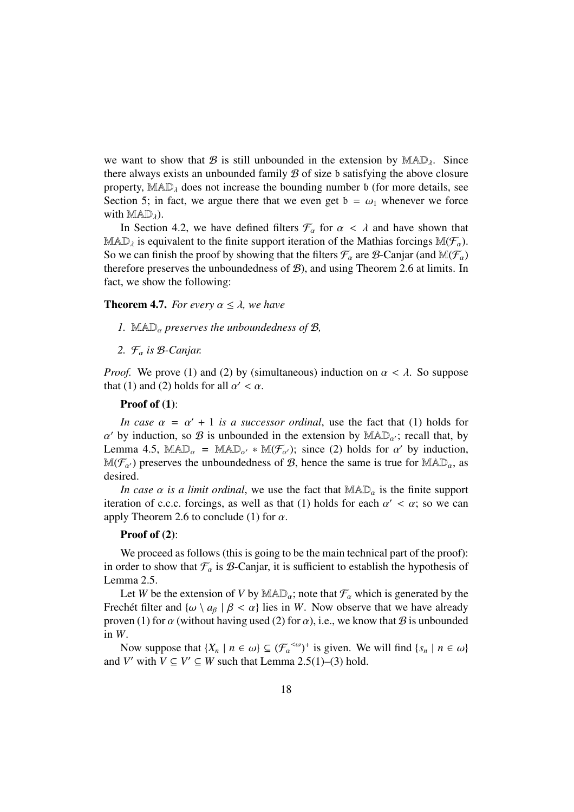we want to show that B is still unbounded in the extension by  $MAD<sub>4</sub>$ . Since there always exists an unbounded family  $\mathcal B$  of size b satisfying the above closure property,  $MAD<sub>\lambda</sub>$  does not increase the bounding number b (for more details, see Section 5; in fact, we argue there that we even get  $b = \omega_1$  whenever we force with  $MAD_{\lambda}$ ).

In Section 4.2, we have defined filters  $\mathcal{F}_{\alpha}$  for  $\alpha < \lambda$  and have shown that MAD<sub> $\lambda$ </sub> is equivalent to the finite support iteration of the Mathias forcings M( $\mathcal{F}_{\alpha}$ ). So we can finish the proof by showing that the filters  $\mathcal{F}_{\alpha}$  are  $\mathcal{B}$ -Canjar (and  $\mathbb{M}(\mathcal{F}_{\alpha})$ therefore preserves the unboundedness of  $B$ ), and using Theorem 2.6 at limits. In fact, we show the following:

#### **Theorem 4.7.** *For every*  $\alpha \leq \lambda$ , *we have*

- *1.* MAD<sub> $\alpha$ </sub> preserves the unboundedness of B,
- 2.  $\mathcal{F}_{\alpha}$  *is*  $\beta$ -Canjar.

*Proof.* We prove (1) and (2) by (simultaneous) induction on  $\alpha < \lambda$ . So suppose that (1) and (2) holds for all  $\alpha' < \alpha$ .

#### Proof of  $(1)$ :

*In case*  $\alpha = \alpha' + 1$  *is a successor ordinal*, use the fact that (1) holds for  $\alpha'$  by induction, so  $\beta$  is unbounded in the extension by  $\mathbb{MAD}_{\alpha'}$ ; recall that, by Lemma 4.5, MAD<sub> $\alpha$ </sub> = MAD<sub> $\alpha'$ </sub> \* M( $\mathcal{F}_{\alpha'}$ ); since (2) holds for  $\alpha'$  by induction,  $\mathbb{M}(\mathcal{F}_{\alpha})$  preserves the unboundedness of  $\mathcal{B}$ , hence the same is true for  $\mathbb{M}AD_{\alpha}$ , as desired.

*In case*  $\alpha$  *is a limit ordinal*, we use the fact that  $\mathbb{MAD}_{\alpha}$  is the finite support iteration of c.c.c. forcings, as well as that (1) holds for each  $\alpha' < \alpha$ ; so we can apply Theorem 2.6 to conclude (1) for  $\alpha$ .

#### Proof of  $(2)$ :

We proceed as follows (this is going to be the main technical part of the proof): in order to show that  $\mathcal{F}_{\alpha}$  is  $\beta$ -Canjar, it is sufficient to establish the hypothesis of Lemma 2.5.

Let *W* be the extension of *V* by  $\text{MAD}_\alpha$ ; note that  $\mathcal{F}_\alpha$  which is generated by the Frechet filter and  $\{\omega \setminus a_{\beta} \mid \beta < \alpha\}$  lies in *W*. Now observe that we have already proven (1) for  $\alpha$  (without having used (2) for  $\alpha$ ), i.e., we know that  $\beta$  is unbounded in *W*.

Now suppose that  $\{X_n \mid n \in \omega\} \subseteq (\mathcal{F}_{\alpha}^{<\omega})^+$  is given. We will find  $\{s_n \mid n \in \omega\}$ and *V'* with  $V \subseteq V' \subseteq W$  such that Lemma 2.5(1)–(3) hold.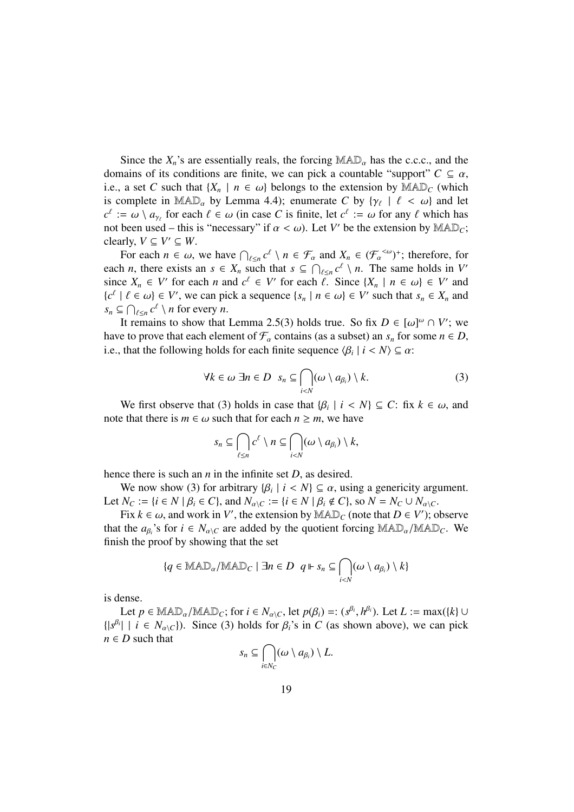Since the  $X_n$ 's are essentially reals, the forcing  $\text{MAD}_\alpha$  has the c.c.c., and the domains of its conditions are finite, we can pick a countable "support"  $C \subseteq \alpha$ , i.e., a set *C* such that  $\{X_n \mid n \in \omega\}$  belongs to the extension by  $\mathbb{MAD}_C$  (which is complete in MAD<sub> $\alpha$ </sub> by Lemma 4.4); enumerate *C* by { $\gamma_{\ell}$  |  $\ell < \omega$ } and let  $c^{\ell} := \omega \setminus a_{\gamma_{\ell}}$  for each  $\ell \in \omega$  (in case *C* is finite, let  $c^{\ell} := \omega$  for any  $\ell$  which has not been used – this is "necessary" if  $\alpha < \omega$ ). Let *V'* be the extension by MAD<sub>*C*</sub>; clearly,  $V \subseteq V' \subseteq W$ .

For each  $n \in \omega$ , we have  $\bigcap_{\ell \leq n} c^{\ell} \setminus n \in \mathcal{F}_{\alpha}$  and  $X_n \in (\mathcal{F}_{\alpha}^{<\omega})^+$ ; therefore, for each *n*, there exists an  $s \in X_n$  such that  $s \subseteq \bigcap_{\ell \leq n} c^{\ell} \setminus n$ . The same holds in *V*<sup>*n*</sup> since  $X_n \in V'$  for each *n* and  $c^{\ell} \in V'$  for each  $\ell$ . Since  $\{X_n \mid n \in \omega\} \in V'$  and  ${c<sup>\ell</sup> | l \in \omega} \in V'$ , we can pick a sequence  ${s_n | n \in \omega} \in V'$  such that  $s_n \in X_n$  and  $s_n \subseteq \bigcap_{\ell \leq n} c^{\ell} \setminus n$  for every *n*.

It remains to show that Lemma 2.5(3) holds true. So fix  $D \in [\omega]^\omega \cap V'$ ; we have to prove that each element of  $\mathcal{F}_{\alpha}$  contains (as a subset) an  $s_n$  for some  $n \in D$ , i.e., that the following holds for each finite sequence  $\langle \beta_i | i \langle N \rangle \subseteq \alpha$ :

$$
\forall k \in \omega \; \exists n \in D \; s_n \subseteq \bigcap_{i < N} (\omega \setminus a_{\beta_i}) \setminus k. \tag{3}
$$

We first observe that (3) holds in case that  $\{\beta_i \mid i < N\} \subseteq C$ : fix  $k \in \omega$ , and note that there is  $m \in \omega$  such that for each  $n > m$ , we have

$$
s_n \subseteq \bigcap_{\ell \leq n} c^{\ell} \setminus n \subseteq \bigcap_{i < N} (\omega \setminus a_{\beta_i}) \setminus k,
$$

hence there is such an *n* in the infinite set *D*, as desired.

We now show (3) for arbitrary  $\{\beta_i \mid i < N\} \subseteq \alpha$ , using a genericity argument. Let  $N_C := \{i \in N \mid \beta_i \in C\}$ , and  $N_{\alpha \setminus C} := \{i \in N \mid \beta_i \notin C\}$ , so  $N = N_C \cup N_{\alpha \setminus C}$ .

Fix  $k \in \omega$ , and work in *V'*, the extension by  $\mathbb{MAD}_C$  (note that  $D \in V'$ ); observe that the  $a_{\beta_i}$ 's for  $i \in N_{\alpha\setminus C}$  are added by the quotient forcing  $\text{MAD}_{\alpha}/\text{MAD}_{C}$ . We finish the proof by showing that the set

$$
\{q \in \mathbb{M}\mathbb{A} \mathbb{D}_{\alpha}/\mathbb{M}\mathbb{A} \mathbb{D}_{C} \mid \exists n \in D \ \ q \Vdash s_{n} \subseteq \bigcap_{i < N} (\omega \setminus a_{\beta_{i}}) \setminus k\}
$$

is dense.

Let  $p \in \text{MAD}_{\alpha}/\text{MAD}_{C}$ ; for  $i \in N_{\alpha \setminus C}$ , let  $p(\beta_{i}) =: (s^{\beta_{i}}, h^{\beta_{i}})$ . Let  $L := \max({k}) \cup$  $\{|s^{\beta_i}| \mid i \in N_{\alpha\setminus C}\}\)$ . Since (3) holds for  $\beta_i$ 's in *C* (as shown above), we can pick  $n \in D$  such that

$$
s_n \subseteq \bigcap_{i \in N_C} (\omega \setminus a_{\beta_i}) \setminus L.
$$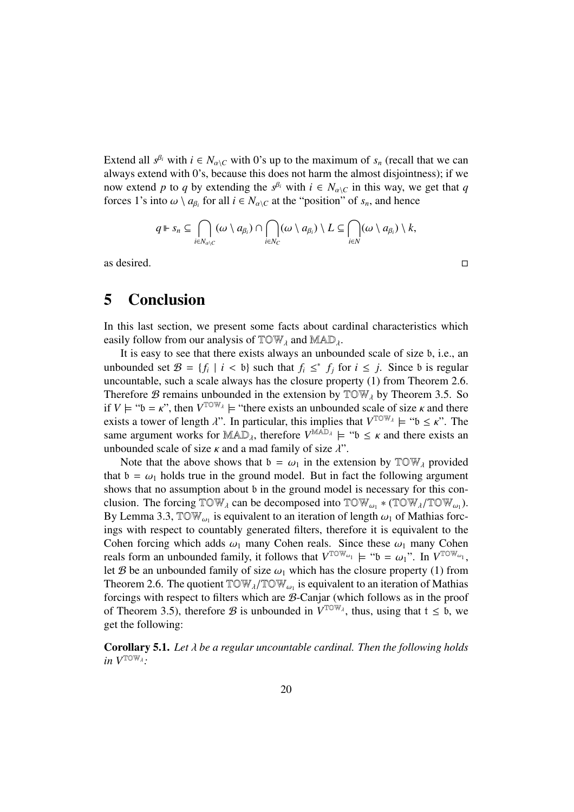Extend all  $s^{\beta_i}$  with  $i \in N_{\alpha\setminus C}$  with 0's up to the maximum of  $s_n$  (recall that we can always extend with 0's, because this does not harm the almost disjointness); if we now extend *p* to *q* by extending the  $s^{\beta_i}$  with  $i \in N_{\alpha \setminus C}$  in this way, we get that *q* forces 1's into  $\omega \setminus a_{\beta_i}$  for all  $i \in N_{\alpha \setminus C}$  at the "position" of  $s_n$ , and hence

$$
q \Vdash s_n \subseteq \bigcap_{i \in N_{\alpha \setminus C}} (\omega \setminus a_{\beta_i}) \cap \bigcap_{i \in N_C} (\omega \setminus a_{\beta_i}) \setminus L \subseteq \bigcap_{i \in N} (\omega \setminus a_{\beta_i}) \setminus k,
$$

as desired.  $\Box$ 

## 5 Conclusion

In this last section, we present some facts about cardinal characteristics which easily follow from our analysis of  $TOW<sub>\lambda</sub>$  and  $MAD<sub>\lambda</sub>$ .

It is easy to see that there exists always an unbounded scale of size b, i.e., an unbounded set  $\mathcal{B} = \{f_i \mid i < b\}$  such that  $f_i \leq^* f_j$  for  $i \leq j$ . Since b is regular uncountable, such a scale always has the closure property (1) from Theorem 2.6. Therefore  $\mathcal B$  remains unbounded in the extension by  $\mathbb T \mathbb O \mathbb W_\lambda$  by Theorem 3.5. So if  $V \models "b = \kappa"$ , then  $V^{\text{TOW}}_A \models$  "there exists an unbounded scale of size  $\kappa$  and there exists a tower of length  $\lambda$ ". In particular, this implies that  $V^{\text{TOW}}_{\lambda} \models "b \leq \kappa$ ". The same argument works for MAD<sub>1</sub>, therefore  $V^{MAD_{\lambda}} \models$  " $\mathfrak{b} \leq \kappa$  and there exists an unbounded scale of size  $\kappa$  and a mad family of size  $\lambda$ ".

Note that the above shows that  $b = \omega_1$  in the extension by  $TOW_\lambda$  provided that  $b = \omega_1$  holds true in the ground model. But in fact the following argument shows that no assumption about b in the ground model is necessary for this conclusion. The forcing  $TOW_{\lambda}$  can be decomposed into  $TOW_{\omega_1} * (TOW_{\lambda}/TOW_{\omega_1})$ . By Lemma 3.3,  $\mathbb{T} \mathbb{O} \mathbb{W}_{\omega_1}$  is equivalent to an iteration of length  $\omega_1$  of Mathias forcings with respect to countably generated filters, therefore it is equivalent to the Cohen forcing which adds  $\omega_1$  many Cohen reals. Since these  $\omega_1$  many Cohen reals form an unbounded family, it follows that  $V^{\text{TOW}_{\omega_1}} \models "b = \omega_1"$ . In  $V^{\text{TOW}_{\omega_1}}$ , let B be an unbounded family of size  $\omega_1$  which has the closure property (1) from Theorem 2.6. The quotient  $TOW_{\lambda}/TOW_{\omega_1}$  is equivalent to an iteration of Mathias forcings with respect to filters which are B-Canjar (which follows as in the proof of Theorem 3.5), therefore B is unbounded in  $V^{TOW_{\lambda}}$ , thus, using that  $t \leq b$ , we get the following:

Corollary 5.1. *Let be a regular uncountable cardinal. Then the following holds in*  $V^{\text{TOW}}$ <sub> $\lambda$ </sub>.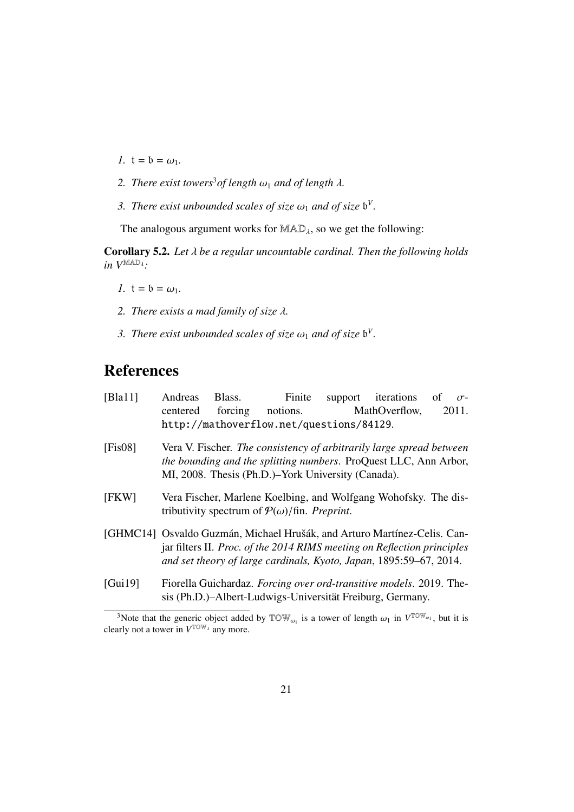- *1.*  $t = b = \omega_1$ *.*
- 2. There exist towers<sup>3</sup> of length  $\omega_1$  and of length  $\lambda$ .
- *3. There exist unbounded scales of size*  $\omega_1$  *and of size*  $b^V$ .

The analogous argument works for  $MAD<sub>\lambda</sub>$ , so we get the following:

Corollary 5.2. *Let be a regular uncountable cardinal. Then the following holds*  $in V^{\text{MAD}}$ <sup>2</sup>:

- *1.*  $t = b = \omega_1$ *.*
- *2. There exists a mad family of size .*
- *3. There exist unbounded scales of size*  $\omega_1$  *and of size*  $b^V$ .

# References

| [Bla11] | Andreas                                                                                                                                                                                                                   | Blass.  | Finite                                                                                                                           |  | support iterations of |  | $\sigma$ - |  |  |
|---------|---------------------------------------------------------------------------------------------------------------------------------------------------------------------------------------------------------------------------|---------|----------------------------------------------------------------------------------------------------------------------------------|--|-----------------------|--|------------|--|--|
|         | centered                                                                                                                                                                                                                  | forcing | notions.                                                                                                                         |  | MathOverflow,         |  | 2011.      |  |  |
|         | http://mathoverflow.net/questions/84129.                                                                                                                                                                                  |         |                                                                                                                                  |  |                       |  |            |  |  |
| [Fix08] | Vera V. Fischer. The consistency of arbitrarily large spread between<br>the bounding and the splitting numbers. ProQuest LLC, Ann Arbor,<br>MI, 2008. Thesis (Ph.D.)-York University (Canada).                            |         |                                                                                                                                  |  |                       |  |            |  |  |
| [FKW]   | Vera Fischer, Marlene Koelbing, and Wolfgang Wohofsky. The dis-<br>tributivity spectrum of $P(\omega)/\text{fin}$ . Preprint.                                                                                             |         |                                                                                                                                  |  |                       |  |            |  |  |
|         | [GHMC14] Osvaldo Guzmán, Michael Hrušák, and Arturo Martínez-Celis. Can-<br>jar filters II. Proc. of the 2014 RIMS meeting on Reflection principles<br>and set theory of large cardinals, Kyoto, Japan, 1895:59-67, 2014. |         |                                                                                                                                  |  |                       |  |            |  |  |
| [Gui19] |                                                                                                                                                                                                                           |         | Fiorella Guichardaz. Forcing over ord-transitive models. 2019. The-<br>sis (Ph.D.)–Albert-Ludwigs-Universität Freiburg, Germany. |  |                       |  |            |  |  |

<sup>&</sup>lt;sup>3</sup>Note that the generic object added by  $TOW_{\omega_1}$  is a tower of length  $\omega_1$  in  $V^{TOW_{\omega_1}}$ , but it is clearly not a tower in  $V^{\text{TOW}_{\lambda}}$  any more.